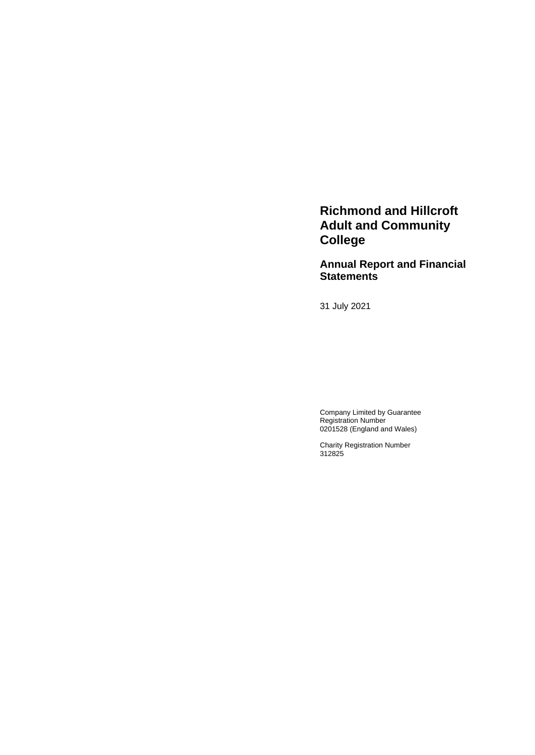**Richmond and Hillcroft Adult and Community College** 

**Annual Report and Financial Statements**

31 July 2021

Company Limited by Guarantee Registration Number 0201528 (England and Wales)

Charity Registration Number 312825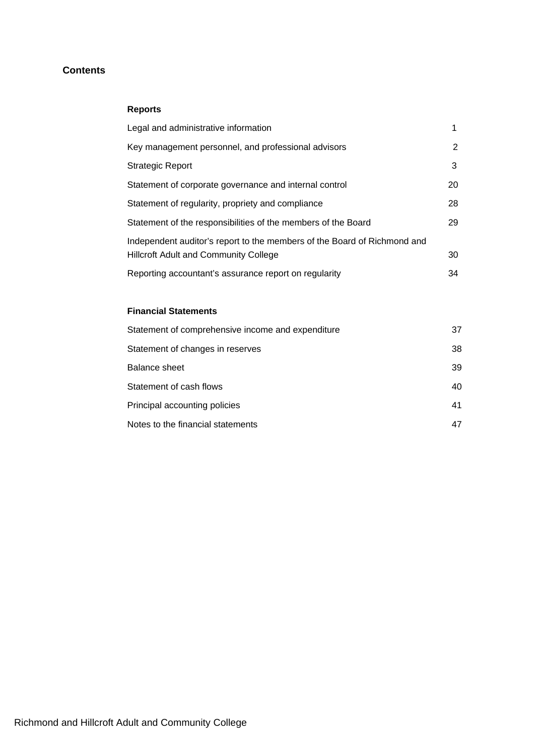# **Contents**

# **Reports**

| Legal and administrative information                                                                                     |    |
|--------------------------------------------------------------------------------------------------------------------------|----|
| Key management personnel, and professional advisors                                                                      | 2  |
| <b>Strategic Report</b>                                                                                                  | 3  |
| Statement of corporate governance and internal control                                                                   | 20 |
| Statement of regularity, propriety and compliance                                                                        | 28 |
| Statement of the responsibilities of the members of the Board                                                            | 29 |
| Independent auditor's report to the members of the Board of Richmond and<br><b>Hillcroft Adult and Community College</b> | 30 |
|                                                                                                                          | 34 |
| Reporting accountant's assurance report on regularity                                                                    |    |

# **Financial Statements**

| Statement of comprehensive income and expenditure | 37 |
|---------------------------------------------------|----|
| Statement of changes in reserves                  | 38 |
| Balance sheet                                     | 39 |
| Statement of cash flows                           | 40 |
| Principal accounting policies                     | 41 |
| Notes to the financial statements                 | 47 |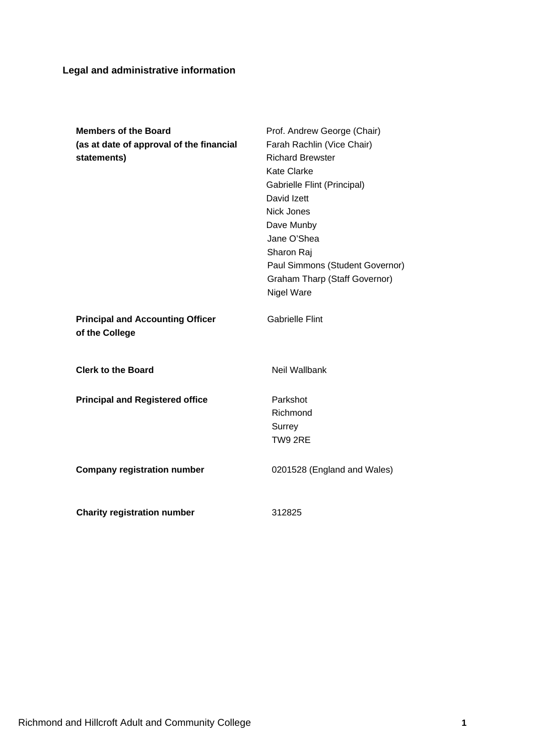# **Legal and administrative information**

| <b>Members of the Board</b><br>(as at date of approval of the financial<br>statements) | Prof. Andrew George (Chair)<br>Farah Rachlin (Vice Chair)<br><b>Richard Brewster</b><br>Kate Clarke<br>Gabrielle Flint (Principal)<br>David Izett<br><b>Nick Jones</b><br>Dave Munby<br>Jane O'Shea<br>Sharon Raj<br>Paul Simmons (Student Governor)<br><b>Graham Tharp (Staff Governor)</b><br>Nigel Ware |
|----------------------------------------------------------------------------------------|------------------------------------------------------------------------------------------------------------------------------------------------------------------------------------------------------------------------------------------------------------------------------------------------------------|
| <b>Principal and Accounting Officer</b><br>of the College                              | <b>Gabrielle Flint</b>                                                                                                                                                                                                                                                                                     |
| <b>Clerk to the Board</b>                                                              | Neil Wallbank                                                                                                                                                                                                                                                                                              |
| <b>Principal and Registered office</b>                                                 | Parkshot<br>Richmond<br>Surrey<br>TW9 2RE                                                                                                                                                                                                                                                                  |
| <b>Company registration number</b>                                                     | 0201528 (England and Wales)                                                                                                                                                                                                                                                                                |
| <b>Charity registration number</b>                                                     | 312825                                                                                                                                                                                                                                                                                                     |

Richmond and Hillcroft Adult and Community College **1**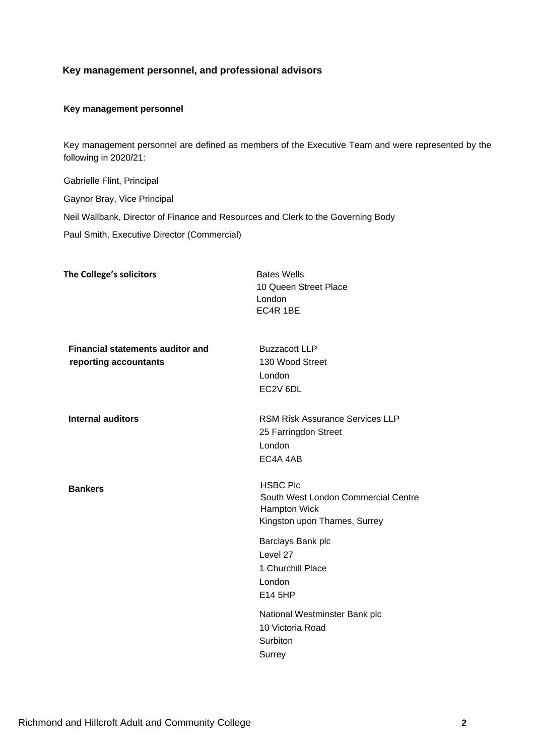# **Key management personnel, and professional advisors**

### <span id="page-3-0"></span>**Key management personnel**

Key management personnel are defined as members of the Executive Team and were represented by the following in 2020/21:

Gabrielle Flint, Principal Gaynor Bray, Vice Principal Neil Wallbank, Director of Finance and Resources and Clerk to the Governing Body Paul Smith, Executive Director (Commercial)

| The College's solicitors                                         | <b>Bates Wells</b><br>10 Queen Street Place<br>London<br>EC4R 1BE                                      |
|------------------------------------------------------------------|--------------------------------------------------------------------------------------------------------|
| <b>Financial statements auditor and</b><br>reporting accountants | <b>Buzzacott LLP</b><br>130 Wood Street<br>London<br>EC2V 6DL                                          |
| <b>Internal auditors</b>                                         | <b>RSM Risk Assurance Services LLP</b><br>25 Farringdon Street<br>London<br>EC4A 4AB                   |
| <b>Bankers</b>                                                   | <b>HSBC Plc</b><br>South West London Commercial Centre<br>Hampton Wick<br>Kingston upon Thames, Surrey |
|                                                                  | Barclays Bank plc<br>Level 27<br>1 Churchill Place<br>London<br>E14 5HP                                |
|                                                                  | National Westminster Bank plc<br>10 Victoria Road<br>Surbiton<br>Surrey                                |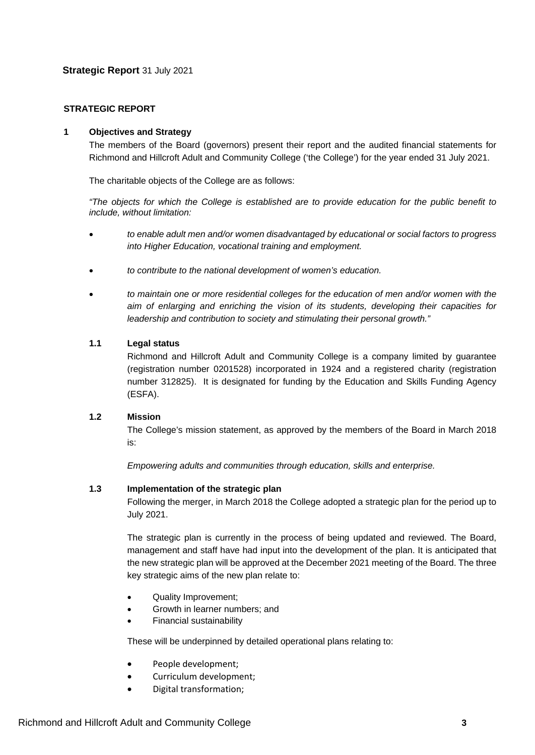# **STRATEGIC REPORT**

# **1 Objectives and Strategy**

The members of the Board (governors) present their report and the audited financial statements for Richmond and Hillcroft Adult and Community College ('the College') for the year ended 31 July 2021.

The charitable objects of the College are as follows:

*"The objects for which the College is established are to provide education for the public benefit to include, without limitation:*

- *to enable adult men and/or women disadvantaged by educational or social factors to progress into Higher Education, vocational training and employment.*
- *to contribute to the national development of women's education.*
- *to maintain one or more residential colleges for the education of men and/or women with the aim of enlarging and enriching the vision of its students, developing their capacities for leadership and contribution to society and stimulating their personal growth."*

### **1.1 Legal status**

Richmond and Hillcroft Adult and Community College is a company limited by guarantee (registration number 0201528) incorporated in 1924 and a registered charity (registration number 312825). It is designated for funding by the Education and Skills Funding Agency (ESFA).

# **1.2 Mission**

The College's mission statement, as approved by the members of the Board in March 2018 is:

*Empowering adults and communities through education, skills and enterprise.*

# **1.3 Implementation of the strategic plan**

Following the merger, in March 2018 the College adopted a strategic plan for the period up to July 2021.

The strategic plan is currently in the process of being updated and reviewed. The Board, management and staff have had input into the development of the plan. It is anticipated that the new strategic plan will be approved at the December 2021 meeting of the Board. The three key strategic aims of the new plan relate to:

- Quality Improvement;
- Growth in learner numbers; and
- Financial sustainability

These will be underpinned by detailed operational plans relating to:

- People development;
- Curriculum development;
- Digital transformation;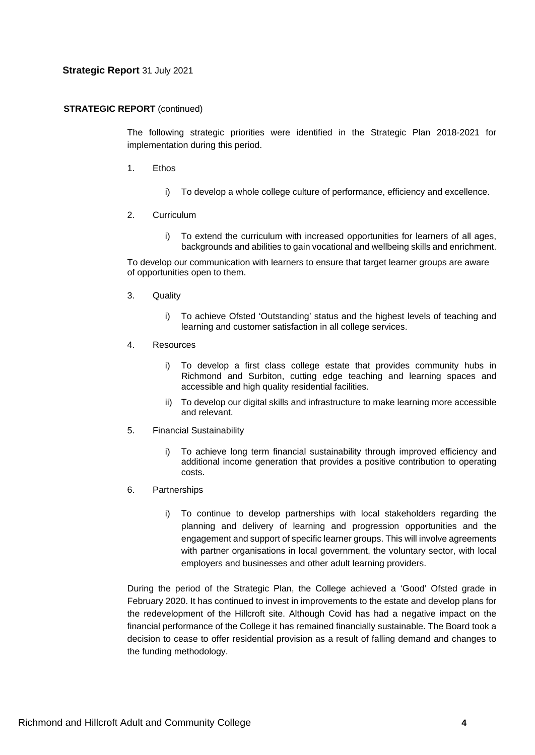### **STRATEGIC REPORT** (continued)

The following strategic priorities were identified in the Strategic Plan 2018-2021 for implementation during this period.

- 1. Ethos
	- i) To develop a whole college culture of performance, efficiency and excellence.
- 2. Curriculum
	- i) To extend the curriculum with increased opportunities for learners of all ages, backgrounds and abilities to gain vocational and wellbeing skills and enrichment.

To develop our communication with learners to ensure that target learner groups are aware of opportunities open to them.

- 3. Quality
	- i) To achieve Ofsted 'Outstanding' status and the highest levels of teaching and learning and customer satisfaction in all college services.
- 4. Resources
	- i) To develop a first class college estate that provides community hubs in Richmond and Surbiton, cutting edge teaching and learning spaces and accessible and high quality residential facilities.
	- ii) To develop our digital skills and infrastructure to make learning more accessible and relevant.
- 5. Financial Sustainability
	- i) To achieve long term financial sustainability through improved efficiency and additional income generation that provides a positive contribution to operating costs.
- 6. Partnerships
	- i) To continue to develop partnerships with local stakeholders regarding the planning and delivery of learning and progression opportunities and the engagement and support of specific learner groups. This will involve agreements with partner organisations in local government, the voluntary sector, with local employers and businesses and other adult learning providers.

During the period of the Strategic Plan, the College achieved a 'Good' Ofsted grade in February 2020. It has continued to invest in improvements to the estate and develop plans for the redevelopment of the Hillcroft site. Although Covid has had a negative impact on the financial performance of the College it has remained financially sustainable. The Board took a decision to cease to offer residential provision as a result of falling demand and changes to the funding methodology.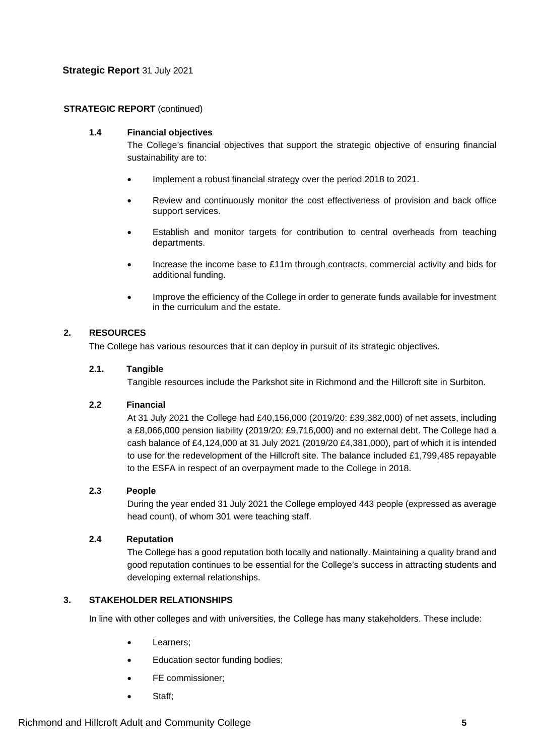# **STRATEGIC REPORT** (continued)

# **1.4 Financial objectives**

The College's financial objectives that support the strategic objective of ensuring financial sustainability are to:

- Implement a robust financial strategy over the period 2018 to 2021.
- Review and continuously monitor the cost effectiveness of provision and back office support services.
- Establish and monitor targets for contribution to central overheads from teaching departments.
- Increase the income base to £11m through contracts, commercial activity and bids for additional funding.
- Improve the efficiency of the College in order to generate funds available for investment in the curriculum and the estate.

# **2. RESOURCES**

The College has various resources that it can deploy in pursuit of its strategic objectives.

# **2.1. Tangible**

Tangible resources include the Parkshot site in Richmond and the Hillcroft site in Surbiton.

# **2.2 Financial**

At 31 July 2021 the College had £40,156,000 (2019/20: £39,382,000) of net assets, including a £8,066,000 pension liability (2019/20: £9,716,000) and no external debt. The College had a cash balance of £4,124,000 at 31 July 2021 (2019/20 £4,381,000), part of which it is intended to use for the redevelopment of the Hillcroft site. The balance included £1,799,485 repayable to the ESFA in respect of an overpayment made to the College in 2018.

# **2.3 People**

During the year ended 31 July 2021 the College employed 443 people (expressed as average head count), of whom 301 were teaching staff.

# **2.4 Reputation**

The College has a good reputation both locally and nationally. Maintaining a quality brand and good reputation continues to be essential for the College's success in attracting students and developing external relationships.

# **3. STAKEHOLDER RELATIONSHIPS**

In line with other colleges and with universities, the College has many stakeholders. These include:

- Learners:
- Education sector funding bodies;
- FE commissioner;
- Staff: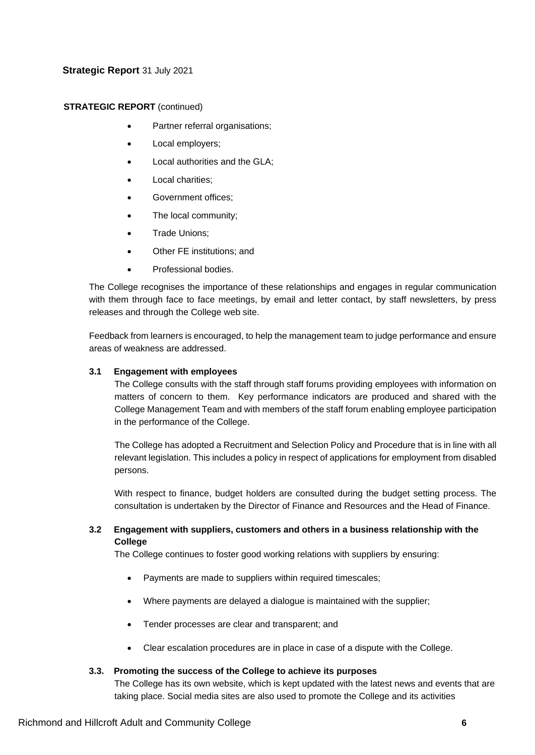# **STRATEGIC REPORT** (continued)

- Partner referral organisations;
- Local employers:
- Local authorities and the GLA;
- Local charities:
- Government offices;
- The local community;
- Trade Unions;
- Other FE institutions; and
- Professional bodies.

The College recognises the importance of these relationships and engages in regular communication with them through face to face meetings, by email and letter contact, by staff newsletters, by press releases and through the College web site.

Feedback from learners is encouraged, to help the management team to judge performance and ensure areas of weakness are addressed.

# **3.1 Engagement with employees**

The College consults with the staff through staff forums providing employees with information on matters of concern to them. Key performance indicators are produced and shared with the College Management Team and with members of the staff forum enabling employee participation in the performance of the College.

The College has adopted a Recruitment and Selection Policy and Procedure that is in line with all relevant legislation. This includes a policy in respect of applications for employment from disabled persons.

With respect to finance, budget holders are consulted during the budget setting process. The consultation is undertaken by the Director of Finance and Resources and the Head of Finance.

# **3.2 Engagement with suppliers, customers and others in a business relationship with the College**

The College continues to foster good working relations with suppliers by ensuring:

- Payments are made to suppliers within required timescales;
- Where payments are delayed a dialogue is maintained with the supplier;
- Tender processes are clear and transparent; and
- Clear escalation procedures are in place in case of a dispute with the College.

# **3.3. Promoting the success of the College to achieve its purposes**

The College has its own website, which is kept updated with the latest news and events that are taking place. Social media sites are also used to promote the College and its activities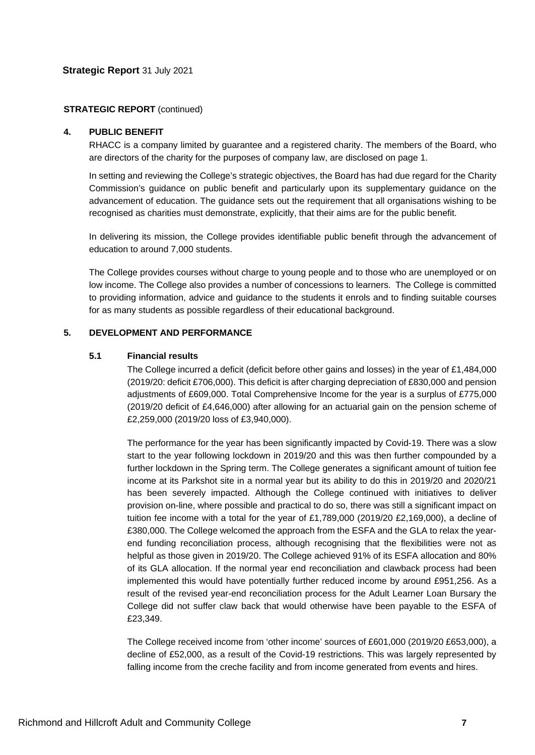### **STRATEGIC REPORT** (continued)

### **4. PUBLIC BENEFIT**

RHACC is a company limited by guarantee and a registered charity. The members of the Board, who are directors of the charity for the purposes of company law, are disclosed on page 1.

In setting and reviewing the College's strategic objectives, the Board has had due regard for the Charity Commission's guidance on public benefit and particularly upon its supplementary guidance on the advancement of education. The guidance sets out the requirement that all organisations wishing to be recognised as charities must demonstrate, explicitly, that their aims are for the public benefit.

In delivering its mission, the College provides identifiable public benefit through the advancement of education to around 7,000 students.

The College provides courses without charge to young people and to those who are unemployed or on low income. The College also provides a number of concessions to learners. The College is committed to providing information, advice and guidance to the students it enrols and to finding suitable courses for as many students as possible regardless of their educational background.

# **5. DEVELOPMENT AND PERFORMANCE**

### **5.1 Financial results**

The College incurred a deficit (deficit before other gains and losses) in the year of £1,484,000 (2019/20: deficit £706,000). This deficit is after charging depreciation of £830,000 and pension adjustments of £609,000. Total Comprehensive Income for the year is a surplus of £775,000 (2019/20 deficit of £4,646,000) after allowing for an actuarial gain on the pension scheme of £2,259,000 (2019/20 loss of £3,940,000).

The performance for the year has been significantly impacted by Covid-19. There was a slow start to the year following lockdown in 2019/20 and this was then further compounded by a further lockdown in the Spring term. The College generates a significant amount of tuition fee income at its Parkshot site in a normal year but its ability to do this in 2019/20 and 2020/21 has been severely impacted. Although the College continued with initiatives to deliver provision on-line, where possible and practical to do so, there was still a significant impact on tuition fee income with a total for the year of £1,789,000 (2019/20 £2,169,000), a decline of £380,000. The College welcomed the approach from the ESFA and the GLA to relax the yearend funding reconciliation process, although recognising that the flexibilities were not as helpful as those given in 2019/20. The College achieved 91% of its ESFA allocation and 80% of its GLA allocation. If the normal year end reconciliation and clawback process had been implemented this would have potentially further reduced income by around £951,256. As a result of the revised year-end reconciliation process for the Adult Learner Loan Bursary the College did not suffer claw back that would otherwise have been payable to the ESFA of £23,349.

The College received income from 'other income' sources of £601,000 (2019/20 £653,000), a decline of £52,000, as a result of the Covid-19 restrictions. This was largely represented by falling income from the creche facility and from income generated from events and hires.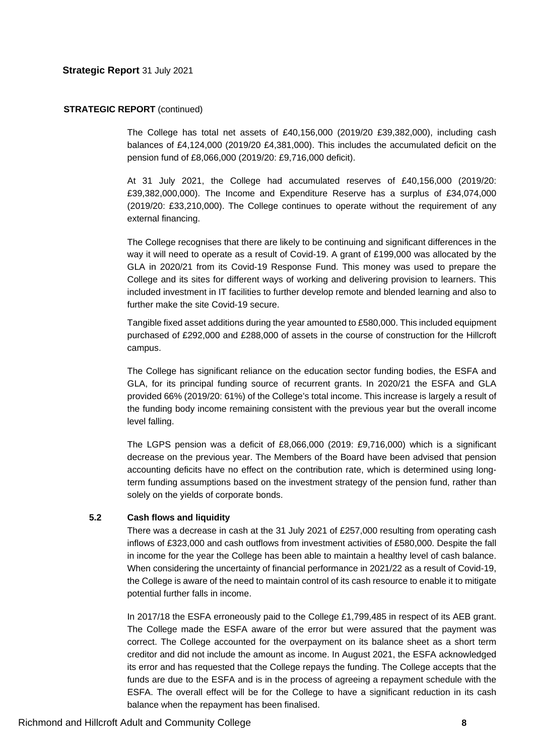#### **STRATEGIC REPORT** (continued)

The College has total net assets of £40,156,000 (2019/20 £39,382,000), including cash balances of £4,124,000 (2019/20 £4,381,000). This includes the accumulated deficit on the pension fund of £8,066,000 (2019/20: £9,716,000 deficit).

At 31 July 2021, the College had accumulated reserves of £40,156,000 (2019/20: £39,382,000,000). The Income and Expenditure Reserve has a surplus of £34,074,000 (2019/20: £33,210,000). The College continues to operate without the requirement of any external financing.

The College recognises that there are likely to be continuing and significant differences in the way it will need to operate as a result of Covid-19. A grant of £199,000 was allocated by the GLA in 2020/21 from its Covid-19 Response Fund. This money was used to prepare the College and its sites for different ways of working and delivering provision to learners. This included investment in IT facilities to further develop remote and blended learning and also to further make the site Covid-19 secure.

Tangible fixed asset additions during the year amounted to £580,000. This included equipment purchased of £292,000 and £288,000 of assets in the course of construction for the Hillcroft campus.

The College has significant reliance on the education sector funding bodies, the ESFA and GLA, for its principal funding source of recurrent grants. In 2020/21 the ESFA and GLA provided 66% (2019/20: 61%) of the College's total income. This increase is largely a result of the funding body income remaining consistent with the previous year but the overall income level falling.

The LGPS pension was a deficit of £8,066,000 (2019: £9,716,000) which is a significant decrease on the previous year. The Members of the Board have been advised that pension accounting deficits have no effect on the contribution rate, which is determined using longterm funding assumptions based on the investment strategy of the pension fund, rather than solely on the yields of corporate bonds.

# **5.2 Cash flows and liquidity**

There was a decrease in cash at the 31 July 2021 of £257,000 resulting from operating cash inflows of £323,000 and cash outflows from investment activities of £580,000. Despite the fall in income for the year the College has been able to maintain a healthy level of cash balance. When considering the uncertainty of financial performance in 2021/22 as a result of Covid-19, the College is aware of the need to maintain control of its cash resource to enable it to mitigate potential further falls in income.

In 2017/18 the ESFA erroneously paid to the College £1,799,485 in respect of its AEB grant. The College made the ESFA aware of the error but were assured that the payment was correct. The College accounted for the overpayment on its balance sheet as a short term creditor and did not include the amount as income. In August 2021, the ESFA acknowledged its error and has requested that the College repays the funding. The College accepts that the funds are due to the ESFA and is in the process of agreeing a repayment schedule with the ESFA. The overall effect will be for the College to have a significant reduction in its cash balance when the repayment has been finalised.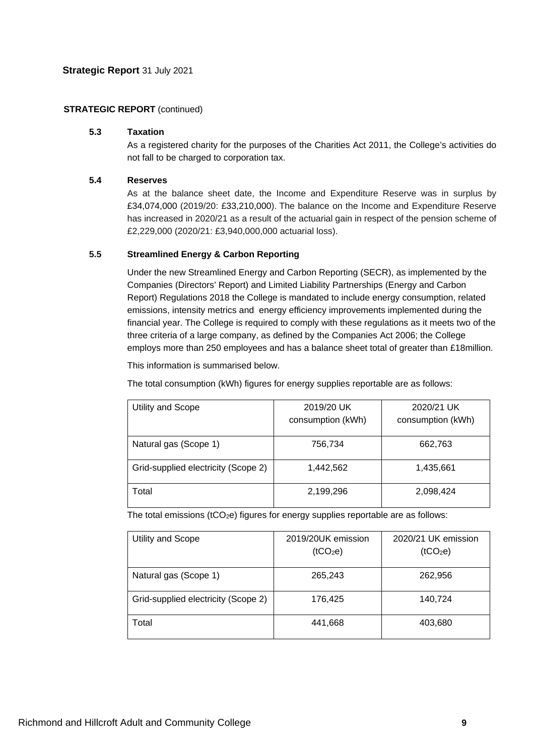# **STRATEGIC REPORT (continued)**

# **5.3 Taxation**

As a registered charity for the purposes of the Charities Act 2011, the College's activities do not fall to be charged to corporation tax.

# **5.4 Reserves**

As at the balance sheet date, the Income and Expenditure Reserve was in surplus by £34,074,000 (2019/20: £33,210,000). The balance on the Income and Expenditure Reserve has increased in 2020/21 as a result of the actuarial gain in respect of the pension scheme of £2,229,000 (2020/21: £3,940,000,000 actuarial loss).

# **5.5 Streamlined Energy & Carbon Reporting**

Under the new Streamlined Energy and Carbon Reporting (SECR), as implemented by the Companies (Directors' Report) and Limited Liability Partnerships (Energy and Carbon Report) Regulations 2018 the College is mandated to include energy consumption, related emissions, intensity metrics and energy efficiency improvements implemented during the financial year. The College is required to comply with these regulations as it meets two of the three criteria of a large company, as defined by the Companies Act 2006; the College employs more than 250 employees and has a balance sheet total of greater than £18million.

This information is summarised below.

The total consumption (kWh) figures for energy supplies reportable are as follows:

| Utility and Scope                   | 2019/20 UK<br>consumption (kWh) | 2020/21 UK<br>consumption (kWh) |
|-------------------------------------|---------------------------------|---------------------------------|
| Natural gas (Scope 1)               | 756,734                         | 662,763                         |
| Grid-supplied electricity (Scope 2) | 1,442,562                       | 1,435,661                       |
| Total                               | 2,199,296                       | 2,098,424                       |

The total emissions ( $tCO<sub>2</sub>e$ ) figures for energy supplies reportable are as follows:

| Utility and Scope                   | 2019/20UK emission<br>(tCO <sub>2</sub> e) | 2020/21 UK emission<br>(tCO <sub>2</sub> e) |
|-------------------------------------|--------------------------------------------|---------------------------------------------|
| Natural gas (Scope 1)               | 265,243                                    | 262,956                                     |
| Grid-supplied electricity (Scope 2) | 176,425                                    | 140,724                                     |
| Total                               | 441,668                                    | 403,680                                     |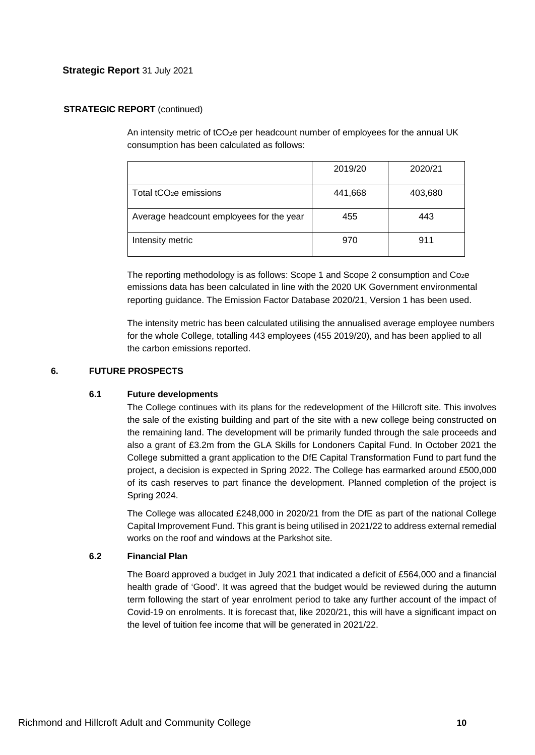# **STRATEGIC REPORT (continued)**

An intensity metric of tCO<sub>2</sub>e per headcount number of employees for the annual UK consumption has been calculated as follows:

|                                          | 2019/20 | 2020/21 |
|------------------------------------------|---------|---------|
| Total tCO <sub>2</sub> e emissions       | 441,668 | 403,680 |
| Average headcount employees for the year | 455     | 443     |
| Intensity metric                         | 970     | 911     |

The reporting methodology is as follows: Scope 1 and Scope 2 consumption and  $Co<sub>2</sub>e$ emissions data has been calculated in line with the 2020 UK Government environmental reporting guidance. The Emission Factor Database 2020/21, Version 1 has been used.

The intensity metric has been calculated utilising the annualised average employee numbers for the whole College, totalling 443 employees (455 2019/20), and has been applied to all the carbon emissions reported.

# **6. FUTURE PROSPECTS**

# **6.1 Future developments**

The College continues with its plans for the redevelopment of the Hillcroft site. This involves the sale of the existing building and part of the site with a new college being constructed on the remaining land. The development will be primarily funded through the sale proceeds and also a grant of £3.2m from the GLA Skills for Londoners Capital Fund. In October 2021 the College submitted a grant application to the DfE Capital Transformation Fund to part fund the project, a decision is expected in Spring 2022. The College has earmarked around £500,000 of its cash reserves to part finance the development. Planned completion of the project is Spring 2024.

The College was allocated £248,000 in 2020/21 from the DfE as part of the national College Capital Improvement Fund. This grant is being utilised in 2021/22 to address external remedial works on the roof and windows at the Parkshot site.

# **6.2 Financial Plan**

The Board approved a budget in July 2021 that indicated a deficit of £564,000 and a financial health grade of 'Good'. It was agreed that the budget would be reviewed during the autumn term following the start of year enrolment period to take any further account of the impact of Covid-19 on enrolments. It is forecast that, like 2020/21, this will have a significant impact on the level of tuition fee income that will be generated in 2021/22.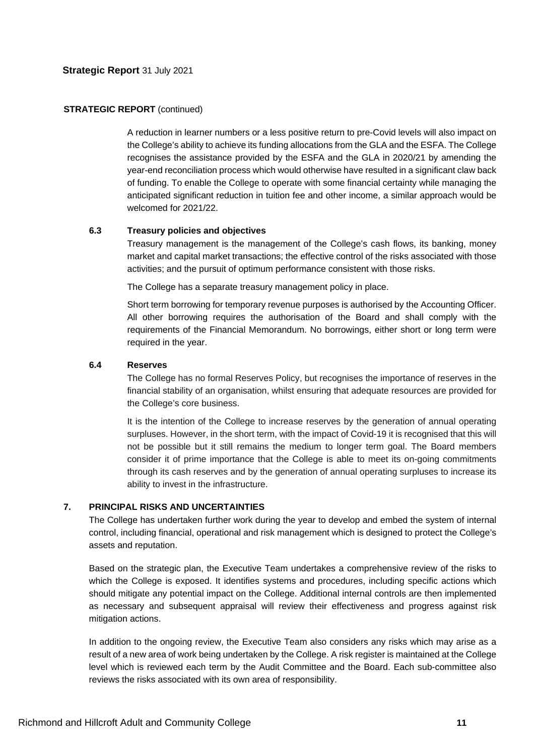#### **STRATEGIC REPORT (continued)**

A reduction in learner numbers or a less positive return to pre-Covid levels will also impact on the College's ability to achieve its funding allocations from the GLA and the ESFA. The College recognises the assistance provided by the ESFA and the GLA in 2020/21 by amending the year-end reconciliation process which would otherwise have resulted in a significant claw back of funding. To enable the College to operate with some financial certainty while managing the anticipated significant reduction in tuition fee and other income, a similar approach would be welcomed for 2021/22.

### **6.3 Treasury policies and objectives**

Treasury management is the management of the College's cash flows, its banking, money market and capital market transactions; the effective control of the risks associated with those activities; and the pursuit of optimum performance consistent with those risks.

The College has a separate treasury management policy in place.

Short term borrowing for temporary revenue purposes is authorised by the Accounting Officer. All other borrowing requires the authorisation of the Board and shall comply with the requirements of the Financial Memorandum. No borrowings, either short or long term were required in the year.

### **6.4 Reserves**

The College has no formal Reserves Policy, but recognises the importance of reserves in the financial stability of an organisation, whilst ensuring that adequate resources are provided for the College's core business.

It is the intention of the College to increase reserves by the generation of annual operating surpluses. However, in the short term, with the impact of Covid-19 it is recognised that this will not be possible but it still remains the medium to longer term goal. The Board members consider it of prime importance that the College is able to meet its on-going commitments through its cash reserves and by the generation of annual operating surpluses to increase its ability to invest in the infrastructure.

# **7. PRINCIPAL RISKS AND UNCERTAINTIES**

The College has undertaken further work during the year to develop and embed the system of internal control, including financial, operational and risk management which is designed to protect the College's assets and reputation.

Based on the strategic plan, the Executive Team undertakes a comprehensive review of the risks to which the College is exposed. It identifies systems and procedures, including specific actions which should mitigate any potential impact on the College. Additional internal controls are then implemented as necessary and subsequent appraisal will review their effectiveness and progress against risk mitigation actions.

In addition to the ongoing review, the Executive Team also considers any risks which may arise as a result of a new area of work being undertaken by the College. A risk register is maintained at the College level which is reviewed each term by the Audit Committee and the Board. Each sub-committee also reviews the risks associated with its own area of responsibility.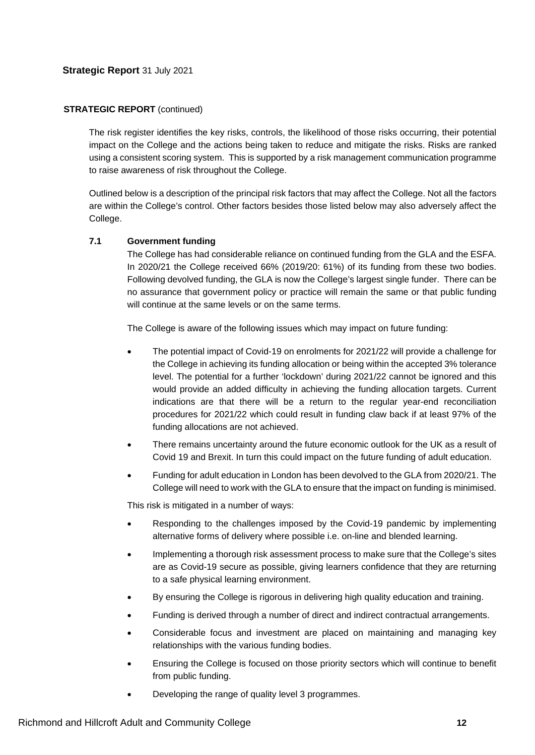### **STRATEGIC REPORT** (continued)

The risk register identifies the key risks, controls, the likelihood of those risks occurring, their potential impact on the College and the actions being taken to reduce and mitigate the risks. Risks are ranked using a consistent scoring system. This is supported by a risk management communication programme to raise awareness of risk throughout the College.

Outlined below is a description of the principal risk factors that may affect the College. Not all the factors are within the College's control. Other factors besides those listed below may also adversely affect the College.

### **7.1 Government funding**

The College has had considerable reliance on continued funding from the GLA and the ESFA. In 2020/21 the College received 66% (2019/20: 61%) of its funding from these two bodies. Following devolved funding, the GLA is now the College's largest single funder. There can be no assurance that government policy or practice will remain the same or that public funding will continue at the same levels or on the same terms.

The College is aware of the following issues which may impact on future funding:

- The potential impact of Covid-19 on enrolments for 2021/22 will provide a challenge for the College in achieving its funding allocation or being within the accepted 3% tolerance level. The potential for a further 'lockdown' during 2021/22 cannot be ignored and this would provide an added difficulty in achieving the funding allocation targets. Current indications are that there will be a return to the regular year-end reconciliation procedures for 2021/22 which could result in funding claw back if at least 97% of the funding allocations are not achieved.
- There remains uncertainty around the future economic outlook for the UK as a result of Covid 19 and Brexit. In turn this could impact on the future funding of adult education.
- Funding for adult education in London has been devolved to the GLA from 2020/21. The College will need to work with the GLA to ensure that the impact on funding is minimised.

This risk is mitigated in a number of ways:

- Responding to the challenges imposed by the Covid-19 pandemic by implementing alternative forms of delivery where possible i.e. on-line and blended learning.
- Implementing a thorough risk assessment process to make sure that the College's sites are as Covid-19 secure as possible, giving learners confidence that they are returning to a safe physical learning environment.
- By ensuring the College is rigorous in delivering high quality education and training.
- Funding is derived through a number of direct and indirect contractual arrangements.
- Considerable focus and investment are placed on maintaining and managing key relationships with the various funding bodies.
- Ensuring the College is focused on those priority sectors which will continue to benefit from public funding.
- Developing the range of quality level 3 programmes.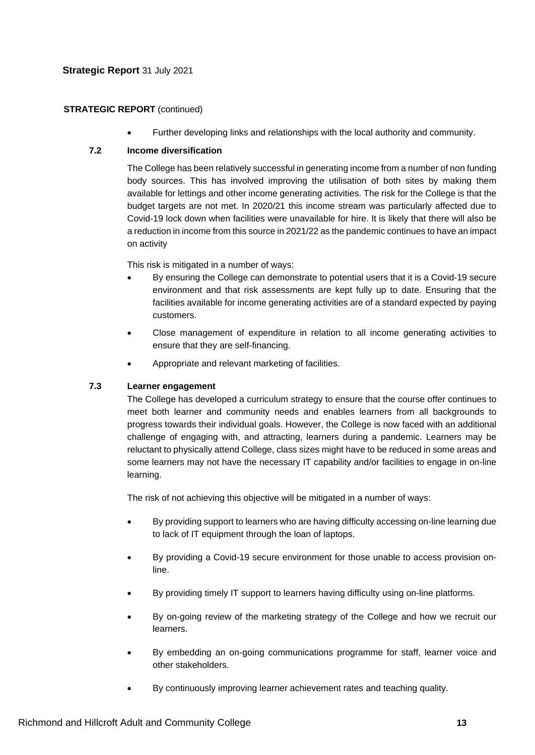# **STRATEGIC REPORT** (continued)

• Further developing links and relationships with the local authority and community.

# **7.2 Income diversification**

The College has been relatively successful in generating income from a number of non funding body sources. This has involved improving the utilisation of both sites by making them available for lettings and other income generating activities. The risk for the College is that the budget targets are not met. In 2020/21 this income stream was particularly affected due to Covid-19 lock down when facilities were unavailable for hire. It is likely that there will also be a reduction in income from this source in 2021/22 as the pandemic continues to have an impact on activity

This risk is mitigated in a number of ways:

- By ensuring the College can demonstrate to potential users that it is a Covid-19 secure environment and that risk assessments are kept fully up to date. Ensuring that the facilities available for income generating activities are of a standard expected by paying customers.
- Close management of expenditure in relation to all income generating activities to ensure that they are self-financing.
- Appropriate and relevant marketing of facilities.

# **7.3 Learner engagement**

The College has developed a curriculum strategy to ensure that the course offer continues to meet both learner and community needs and enables learners from all backgrounds to progress towards their individual goals. However, the College is now faced with an additional challenge of engaging with, and attracting, learners during a pandemic. Learners may be reluctant to physically attend College, class sizes might have to be reduced in some areas and some learners may not have the necessary IT capability and/or facilities to engage in on-line learning.

The risk of not achieving this objective will be mitigated in a number of ways:

- By providing support to learners who are having difficulty accessing on-line learning due to lack of IT equipment through the loan of laptops.
- By providing a Covid-19 secure environment for those unable to access provision online.
- By providing timely IT support to learners having difficulty using on-line platforms.
- By on-going review of the marketing strategy of the College and how we recruit our learners.
- By embedding an on-going communications programme for staff, learner voice and other stakeholders.
- By continuously improving learner achievement rates and teaching quality.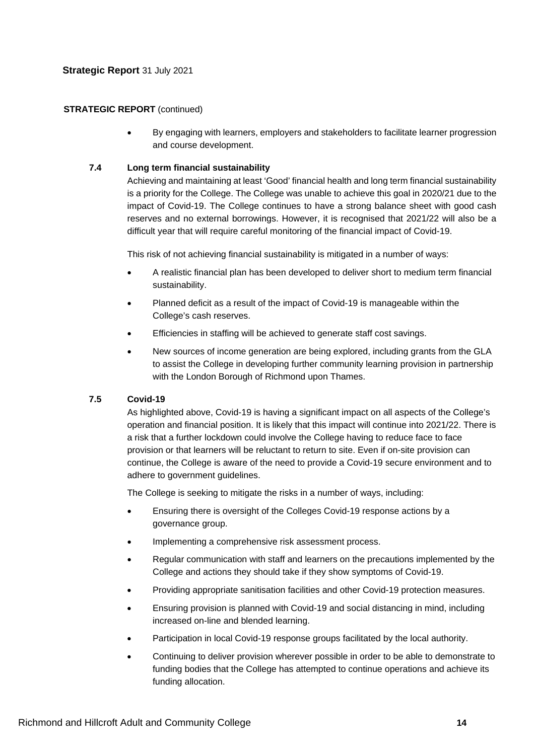# **STRATEGIC REPORT (continued)**

• By engaging with learners, employers and stakeholders to facilitate learner progression and course development.

# **7.4 Long term financial sustainability**

Achieving and maintaining at least 'Good' financial health and long term financial sustainability is a priority for the College. The College was unable to achieve this goal in 2020/21 due to the impact of Covid-19. The College continues to have a strong balance sheet with good cash reserves and no external borrowings. However, it is recognised that 2021/22 will also be a difficult year that will require careful monitoring of the financial impact of Covid-19.

This risk of not achieving financial sustainability is mitigated in a number of ways:

- A realistic financial plan has been developed to deliver short to medium term financial sustainability.
- Planned deficit as a result of the impact of Covid-19 is manageable within the College's cash reserves.
- Efficiencies in staffing will be achieved to generate staff cost savings.
- New sources of income generation are being explored, including grants from the GLA to assist the College in developing further community learning provision in partnership with the London Borough of Richmond upon Thames.

# **7.5 Covid-19**

As highlighted above, Covid-19 is having a significant impact on all aspects of the College's operation and financial position. It is likely that this impact will continue into 2021/22. There is a risk that a further lockdown could involve the College having to reduce face to face provision or that learners will be reluctant to return to site. Even if on-site provision can continue, the College is aware of the need to provide a Covid-19 secure environment and to adhere to government guidelines.

The College is seeking to mitigate the risks in a number of ways, including:

- Ensuring there is oversight of the Colleges Covid-19 response actions by a governance group.
- Implementing a comprehensive risk assessment process.
- Regular communication with staff and learners on the precautions implemented by the College and actions they should take if they show symptoms of Covid-19.
- Providing appropriate sanitisation facilities and other Covid-19 protection measures.
- Ensuring provision is planned with Covid-19 and social distancing in mind, including increased on-line and blended learning.
- Participation in local Covid-19 response groups facilitated by the local authority.
- Continuing to deliver provision wherever possible in order to be able to demonstrate to funding bodies that the College has attempted to continue operations and achieve its funding allocation.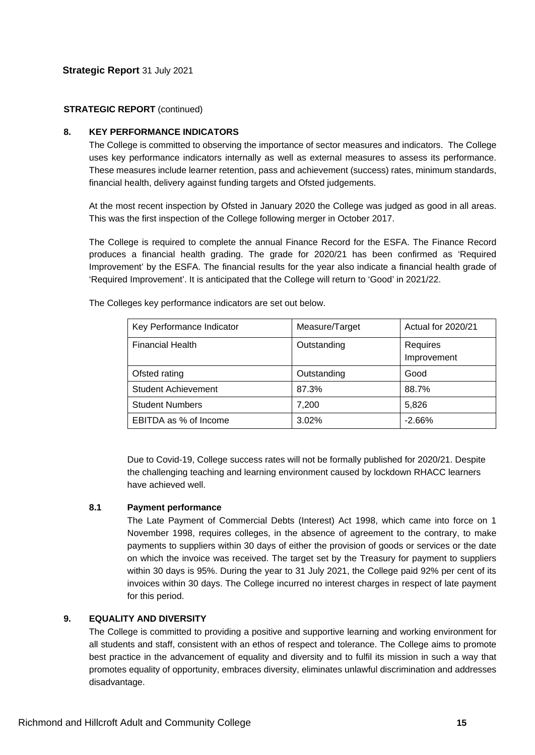# **STRATEGIC REPORT (continued)**

# **8. KEY PERFORMANCE INDICATORS**

The College is committed to observing the importance of sector measures and indicators. The College uses key performance indicators internally as well as external measures to assess its performance. These measures include learner retention, pass and achievement (success) rates, minimum standards, financial health, delivery against funding targets and Ofsted judgements.

At the most recent inspection by Ofsted in January 2020 the College was judged as good in all areas. This was the first inspection of the College following merger in October 2017.

The College is required to complete the annual Finance Record for the ESFA. The Finance Record produces a financial health grading. The grade for 2020/21 has been confirmed as 'Required Improvement' by the ESFA. The financial results for the year also indicate a financial health grade of 'Required Improvement'. It is anticipated that the College will return to 'Good' in 2021/22.

| Key Performance Indicator  | Measure/Target | Actual for 2020/21      |
|----------------------------|----------------|-------------------------|
| <b>Financial Health</b>    | Outstanding    | Requires<br>Improvement |
| Ofsted rating              | Outstanding    | Good                    |
| <b>Student Achievement</b> | 87.3%          | 88.7%                   |
| <b>Student Numbers</b>     | 7,200          | 5,826                   |
| EBITDA as % of Income      | $3.02\%$       | $-2.66%$                |

The Colleges key performance indicators are set out below.

Due to Covid-19, College success rates will not be formally published for 2020/21. Despite the challenging teaching and learning environment caused by lockdown RHACC learners have achieved well.

# **8.1 Payment performance**

The Late Payment of Commercial Debts (Interest) Act 1998, which came into force on 1 November 1998, requires colleges, in the absence of agreement to the contrary, to make payments to suppliers within 30 days of either the provision of goods or services or the date on which the invoice was received. The target set by the Treasury for payment to suppliers within 30 days is 95%. During the year to 31 July 2021, the College paid 92% per cent of its invoices within 30 days. The College incurred no interest charges in respect of late payment for this period.

# **9. EQUALITY AND DIVERSITY**

The College is committed to providing a positive and supportive learning and working environment for all students and staff, consistent with an ethos of respect and tolerance. The College aims to promote best practice in the advancement of equality and diversity and to fulfil its mission in such a way that promotes equality of opportunity, embraces diversity, eliminates unlawful discrimination and addresses disadvantage.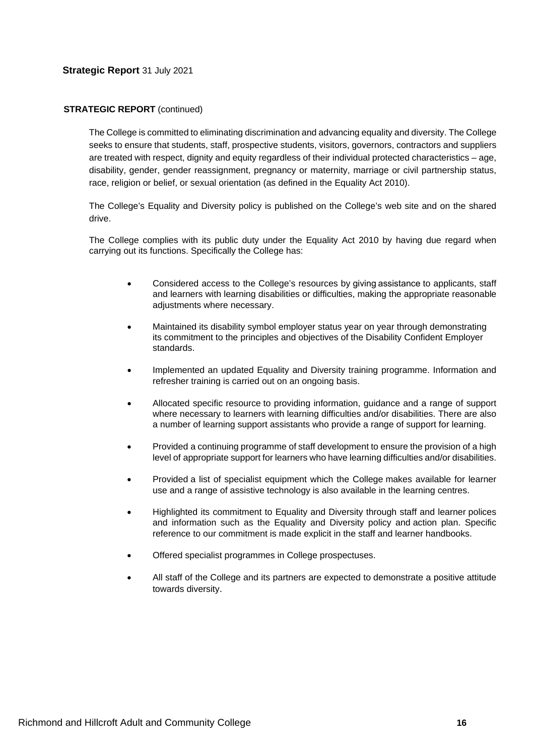### **STRATEGIC REPORT** (continued)

The College is committed to eliminating discrimination and advancing equality and diversity. The College seeks to ensure that students, staff, prospective students, visitors, governors, contractors and suppliers are treated with respect, dignity and equity regardless of their individual protected characteristics – age, disability, gender, gender reassignment, pregnancy or maternity, marriage or civil partnership status, race, religion or belief, or sexual orientation (as defined in the Equality Act 2010).

The College's Equality and Diversity policy is published on the College's web site and on the shared drive.

The College complies with its public duty under the Equality Act 2010 by having due regard when carrying out its functions. Specifically the College has:

- Considered access to the College's resources by giving assistance to applicants, staff and learners with learning disabilities or difficulties, making the appropriate reasonable adjustments where necessary.
- Maintained its disability symbol employer status year on year through demonstrating its commitment to the principles and objectives of the Disability Confident Employer standards.
- Implemented an updated Equality and Diversity training programme. Information and refresher training is carried out on an ongoing basis.
- Allocated specific resource to providing information, guidance and a range of support where necessary to learners with learning difficulties and/or disabilities. There are also a number of learning support assistants who provide a range of support for learning.
- Provided a continuing programme of staff development to ensure the provision of a high level of appropriate support for learners who have learning difficulties and/or disabilities.
- Provided a list of specialist equipment which the College makes available for learner use and a range of assistive technology is also available in the learning centres.
- Highlighted its commitment to Equality and Diversity through staff and learner polices and information such as the Equality and Diversity policy and action plan. Specific reference to our commitment is made explicit in the staff and learner handbooks.
- Offered specialist programmes in College prospectuses.
- All staff of the College and its partners are expected to demonstrate a positive attitude towards diversity.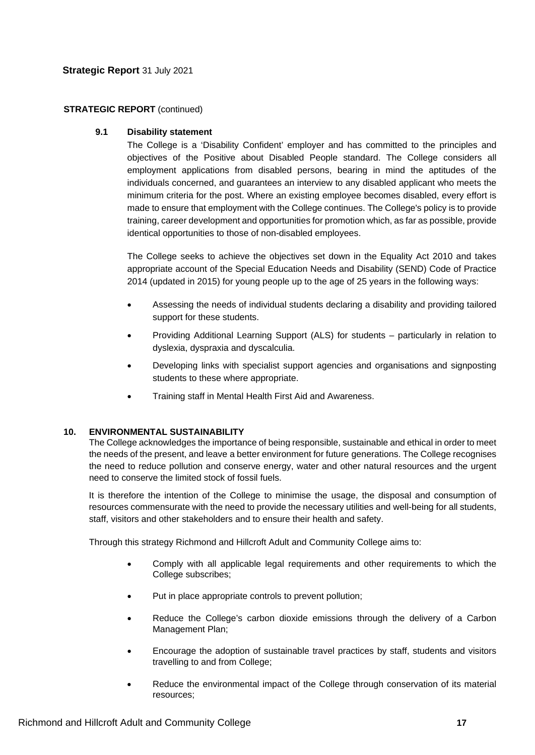# **STRATEGIC REPORT** (continued)

# **9.1 Disability statement**

The College is a 'Disability Confident' employer and has committed to the principles and objectives of the Positive about Disabled People standard. The College considers all employment applications from disabled persons, bearing in mind the aptitudes of the individuals concerned, and guarantees an interview to any disabled applicant who meets the minimum criteria for the post. Where an existing employee becomes disabled, every effort is made to ensure that employment with the College continues. The College's policy is to provide training, career development and opportunities for promotion which, as far as possible, provide identical opportunities to those of non-disabled employees.

The College seeks to achieve the objectives set down in the Equality Act 2010 and takes appropriate account of the Special Education Needs and Disability (SEND) Code of Practice 2014 (updated in 2015) for young people up to the age of 25 years in the following ways:

- Assessing the needs of individual students declaring a disability and providing tailored support for these students.
- Providing Additional Learning Support (ALS) for students particularly in relation to dyslexia, dyspraxia and dyscalculia.
- Developing links with specialist support agencies and organisations and signposting students to these where appropriate.
- Training staff in Mental Health First Aid and Awareness.

# **10. ENVIRONMENTAL SUSTAINABILITY**

The College acknowledges the importance of being responsible, sustainable and ethical in order to meet the needs of the present, and leave a better environment for future generations. The College recognises the need to reduce pollution and conserve energy, water and other natural resources and the urgent need to conserve the limited stock of fossil fuels.

It is therefore the intention of the College to minimise the usage, the disposal and consumption of resources commensurate with the need to provide the necessary utilities and well-being for all students, staff, visitors and other stakeholders and to ensure their health and safety.

Through this strategy Richmond and Hillcroft Adult and Community College aims to:

- Comply with all applicable legal requirements and other requirements to which the College subscribes;
- Put in place appropriate controls to prevent pollution;
- Reduce the College's carbon dioxide emissions through the delivery of a Carbon Management Plan;
- Encourage the adoption of sustainable travel practices by staff, students and visitors travelling to and from College;
- Reduce the environmental impact of the College through conservation of its material resources;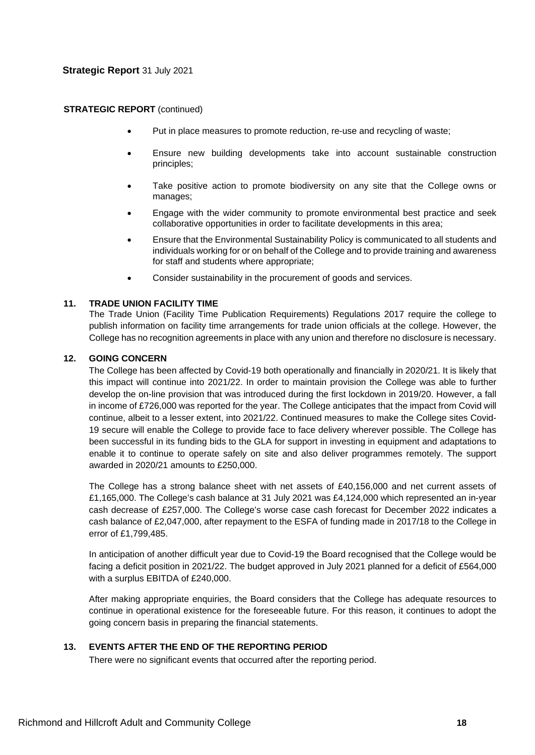### **STRATEGIC REPORT** (continued)

- Put in place measures to promote reduction, re-use and recycling of waste;
- Ensure new building developments take into account sustainable construction principles;
- Take positive action to promote biodiversity on any site that the College owns or manages;
- Engage with the wider community to promote environmental best practice and seek collaborative opportunities in order to facilitate developments in this area;
- Ensure that the Environmental Sustainability Policy is communicated to all students and individuals working for or on behalf of the College and to provide training and awareness for staff and students where appropriate;
- Consider sustainability in the procurement of goods and services.

# **11. TRADE UNION FACILITY TIME**

The Trade Union (Facility Time Publication Requirements) Regulations 2017 require the college to publish information on facility time arrangements for trade union officials at the college. However, the College has no recognition agreements in place with any union and therefore no disclosure is necessary.

# **12. GOING CONCERN**

The College has been affected by Covid-19 both operationally and financially in 2020/21. It is likely that this impact will continue into 2021/22. In order to maintain provision the College was able to further develop the on-line provision that was introduced during the first lockdown in 2019/20. However, a fall in income of £726,000 was reported for the year. The College anticipates that the impact from Covid will continue, albeit to a lesser extent, into 2021/22. Continued measures to make the College sites Covid-19 secure will enable the College to provide face to face delivery wherever possible. The College has been successful in its funding bids to the GLA for support in investing in equipment and adaptations to enable it to continue to operate safely on site and also deliver programmes remotely. The support awarded in 2020/21 amounts to £250,000.

The College has a strong balance sheet with net assets of £40,156,000 and net current assets of £1,165,000. The College's cash balance at 31 July 2021 was £4,124,000 which represented an in-year cash decrease of £257,000. The College's worse case cash forecast for December 2022 indicates a cash balance of £2,047,000, after repayment to the ESFA of funding made in 2017/18 to the College in error of £1,799,485.

In anticipation of another difficult year due to Covid-19 the Board recognised that the College would be facing a deficit position in 2021/22. The budget approved in July 2021 planned for a deficit of £564,000 with a surplus EBITDA of £240,000.

After making appropriate enquiries, the Board considers that the College has adequate resources to continue in operational existence for the foreseeable future. For this reason, it continues to adopt the going concern basis in preparing the financial statements.

# **13. EVENTS AFTER THE END OF THE REPORTING PERIOD**

There were no significant events that occurred after the reporting period.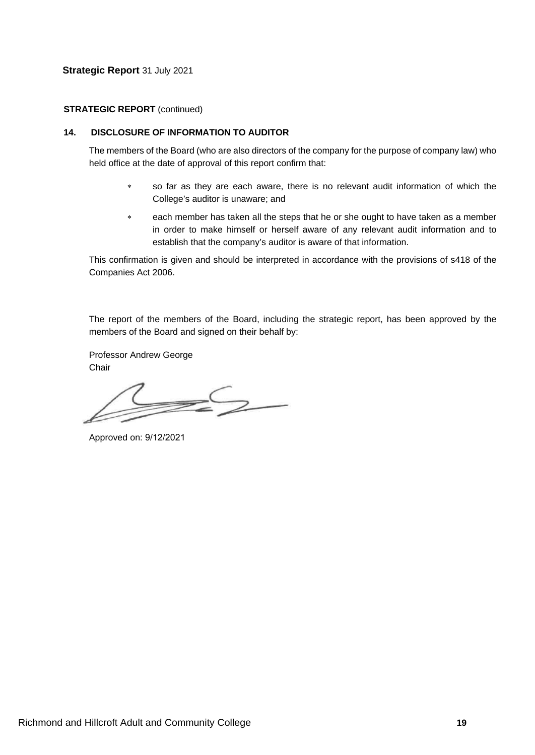### **STRATEGIC REPORT** (continued)

# **14. DISCLOSURE OF INFORMATION TO AUDITOR**

The members of the Board (who are also directors of the company for the purpose of company law) who held office at the date of approval of this report confirm that:

- ∗ so far as they are each aware, there is no relevant audit information of which the College's auditor is unaware; and
- ∗ each member has taken all the steps that he or she ought to have taken as a member in order to make himself or herself aware of any relevant audit information and to establish that the company's auditor is aware of that information.

This confirmation is given and should be interpreted in accordance with the provisions of s418 of the Companies Act 2006.

The report of the members of the Board, including the strategic report, has been approved by the members of the Board and signed on their behalf by:

Professor Andrew George **Chair** 

 $\mathcal{Z}$ 

Approved on: 9/12/2021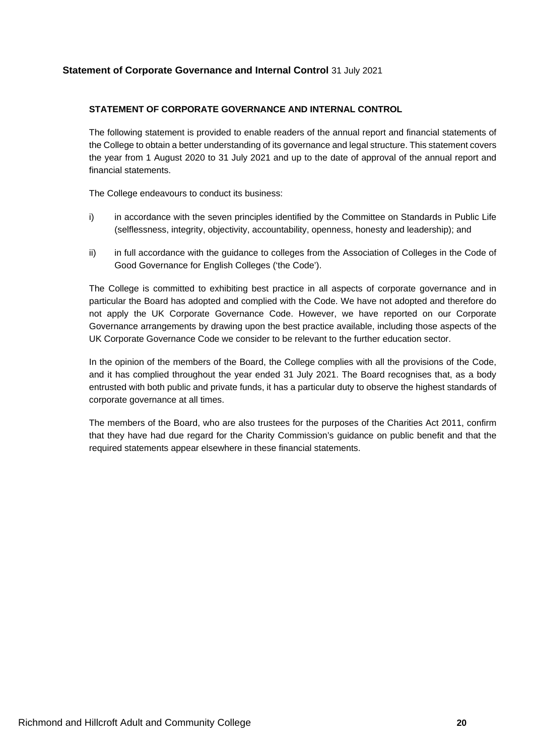### **STATEMENT OF CORPORATE GOVERNANCE AND INTERNAL CONTROL**

The following statement is provided to enable readers of the annual report and financial statements of the College to obtain a better understanding of its governance and legal structure. This statement covers the year from 1 August 2020 to 31 July 2021 and up to the date of approval of the annual report and financial statements.

The College endeavours to conduct its business:

- i) in accordance with the seven principles identified by the Committee on Standards in Public Life (selflessness, integrity, objectivity, accountability, openness, honesty and leadership); and
- ii) in full accordance with the guidance to colleges from the Association of Colleges in the Code of Good Governance for English Colleges ('the Code').

The College is committed to exhibiting best practice in all aspects of corporate governance and in particular the Board has adopted and complied with the Code. We have not adopted and therefore do not apply the UK Corporate Governance Code. However, we have reported on our Corporate Governance arrangements by drawing upon the best practice available, including those aspects of the UK Corporate Governance Code we consider to be relevant to the further education sector.

In the opinion of the members of the Board, the College complies with all the provisions of the Code, and it has complied throughout the year ended 31 July 2021. The Board recognises that, as a body entrusted with both public and private funds, it has a particular duty to observe the highest standards of corporate governance at all times.

The members of the Board, who are also trustees for the purposes of the Charities Act 2011, confirm that they have had due regard for the Charity Commission's guidance on public benefit and that the required statements appear elsewhere in these financial statements.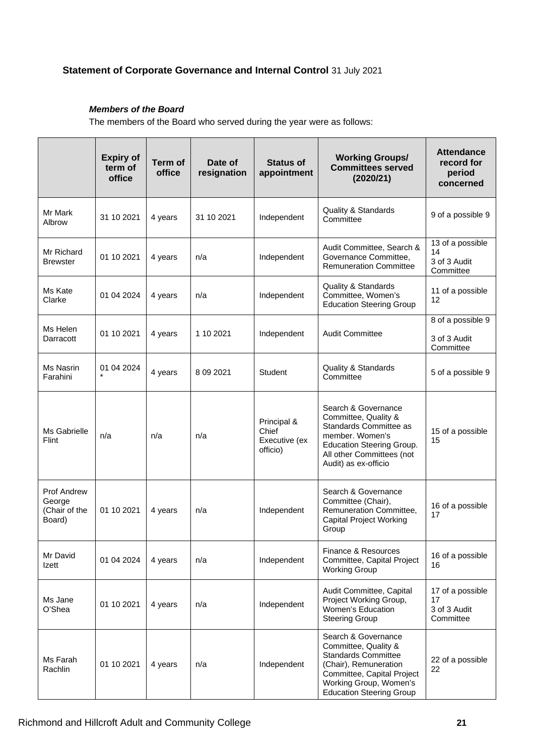# *Members of the Board*

The members of the Board who served during the year were as follows:

|                                                  | <b>Expiry of</b><br>term of<br>office | <b>Term of</b><br>office | Date of<br>resignation | <b>Status of</b><br>appointment                   | <b>Working Groups/</b><br><b>Committees served</b><br>(2020/21)                                                                                                                               | <b>Attendance</b><br>record for<br>period<br>concerned |
|--------------------------------------------------|---------------------------------------|--------------------------|------------------------|---------------------------------------------------|-----------------------------------------------------------------------------------------------------------------------------------------------------------------------------------------------|--------------------------------------------------------|
| Mr Mark<br>Albrow                                | 31 10 2021                            | 4 years                  | 31 10 2021             | Independent                                       | <b>Quality &amp; Standards</b><br>Committee                                                                                                                                                   | 9 of a possible 9                                      |
| Mr Richard<br><b>Brewster</b>                    | 01 10 2021                            | 4 years                  | n/a                    | Independent                                       | Audit Committee, Search &<br>Governance Committee,<br><b>Remuneration Committee</b>                                                                                                           | 13 of a possible<br>14<br>3 of 3 Audit<br>Committee    |
| Ms Kate<br>Clarke                                | 01 04 2024                            | 4 years                  | n/a                    | Independent                                       | <b>Quality &amp; Standards</b><br>Committee, Women's<br><b>Education Steering Group</b>                                                                                                       | 11 of a possible<br>12                                 |
| Ms Helen<br>Darracott                            | 01 10 2021                            | 4 years                  | 1 10 2021              | Independent                                       | <b>Audit Committee</b>                                                                                                                                                                        | 8 of a possible 9<br>3 of 3 Audit<br>Committee         |
| Ms Nasrin<br>Farahini                            | 01 04 2024                            | 4 years                  | 8 09 2021              | <b>Student</b>                                    | Quality & Standards<br>Committee                                                                                                                                                              | 5 of a possible 9                                      |
| Ms Gabrielle<br>Flint                            | n/a                                   | n/a                      | n/a                    | Principal &<br>Chief<br>Executive (ex<br>officio) | Search & Governance<br>Committee, Quality &<br>Standards Committee as<br>member. Women's<br><b>Education Steering Group.</b><br>All other Committees (not<br>Audit) as ex-officio             | 15 of a possible<br>15                                 |
| Prof Andrew<br>George<br>(Chair of the<br>Board) | 01 10 2021                            | 4 years                  | n/a                    | Independent                                       | Search & Governance<br>Committee (Chair),<br>Remuneration Committee,<br><b>Capital Project Working</b><br>Group                                                                               | 16 of a possible<br>17                                 |
| Mr David<br>Izett                                | 01 04 2024                            | 4 years                  | n/a                    | Independent                                       | Finance & Resources<br>Committee, Capital Project<br><b>Working Group</b>                                                                                                                     | 16 of a possible<br>16                                 |
| Ms Jane<br>O'Shea                                | 01 10 2021                            | 4 years                  | n/a                    | Independent                                       | Audit Committee, Capital<br>Project Working Group,<br>Women's Education<br><b>Steering Group</b>                                                                                              | 17 of a possible<br>17<br>3 of 3 Audit<br>Committee    |
| Ms Farah<br>Rachlin                              | 01 10 2021                            | 4 years                  | n/a                    | Independent                                       | Search & Governance<br>Committee, Quality &<br><b>Standards Committee</b><br>(Chair), Remuneration<br>Committee, Capital Project<br>Working Group, Women's<br><b>Education Steering Group</b> | 22 of a possible<br>22                                 |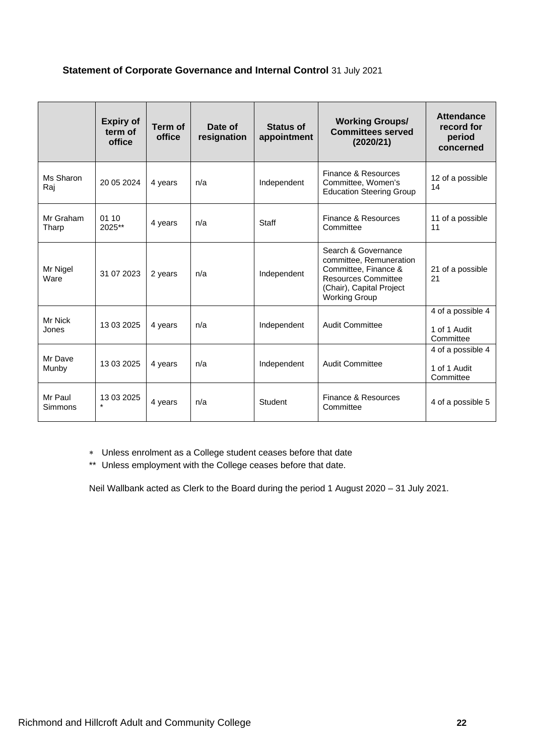|                           | <b>Expiry of</b><br>term of<br>office | Term of<br>office | Date of<br>resignation | <b>Status of</b><br>appointment | <b>Working Groups/</b><br><b>Committees served</b><br>(2020/21)                                                                                          | <b>Attendance</b><br>record for<br>period<br>concerned |
|---------------------------|---------------------------------------|-------------------|------------------------|---------------------------------|----------------------------------------------------------------------------------------------------------------------------------------------------------|--------------------------------------------------------|
| Ms Sharon<br>Raj          | 20 05 20 24                           | 4 years           | n/a                    | Independent                     | Finance & Resources<br>Committee, Women's<br><b>Education Steering Group</b>                                                                             | 12 of a possible<br>14                                 |
| Mr Graham<br>Tharp        | 01 10<br>2025**                       | 4 years           | n/a                    | <b>Staff</b>                    | Finance & Resources<br>Committee                                                                                                                         | 11 of a possible<br>11                                 |
| Mr Nigel<br>Ware          | 31 07 2023                            | 2 years           | n/a                    | Independent                     | Search & Governance<br>committee, Remuneration<br>Committee, Finance &<br><b>Resources Committee</b><br>(Chair), Capital Project<br><b>Working Group</b> | 21 of a possible<br>21                                 |
| Mr Nick<br>Jones          | 13 03 2025                            | 4 years           | n/a                    | Independent                     | <b>Audit Committee</b>                                                                                                                                   | 4 of a possible 4<br>1 of 1 Audit<br>Committee         |
| Mr Dave<br>Munby          | 13 03 2025                            | 4 years           | n/a                    | Independent                     | Audit Committee                                                                                                                                          | 4 of a possible 4<br>1 of 1 Audit<br>Committee         |
| Mr Paul<br><b>Simmons</b> | 13 03 2025                            | 4 years           | n/a                    | <b>Student</b>                  | Finance & Resources<br>Committee                                                                                                                         | 4 of a possible 5                                      |

∗ Unless enrolment as a College student ceases before that date

\*\* Unless employment with the College ceases before that date.

Neil Wallbank acted as Clerk to the Board during the period 1 August 2020 – 31 July 2021.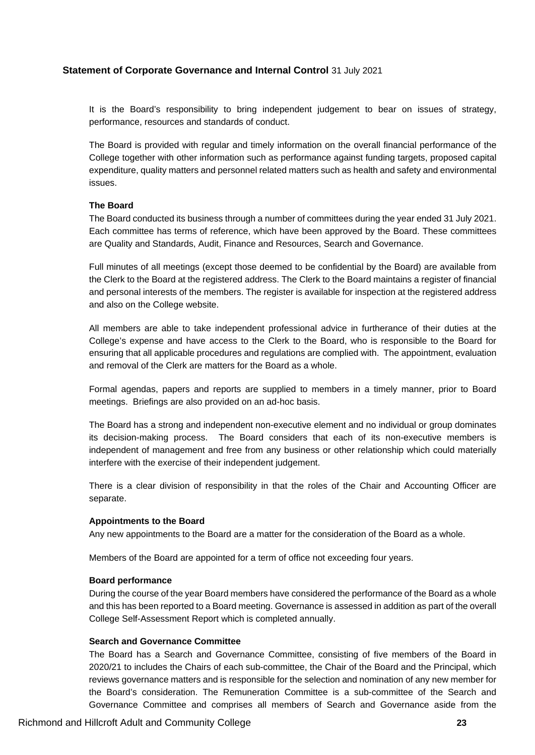It is the Board's responsibility to bring independent judgement to bear on issues of strategy, performance, resources and standards of conduct.

The Board is provided with regular and timely information on the overall financial performance of the College together with other information such as performance against funding targets, proposed capital expenditure, quality matters and personnel related matters such as health and safety and environmental issues.

### **The Board**

The Board conducted its business through a number of committees during the year ended 31 July 2021. Each committee has terms of reference, which have been approved by the Board. These committees are Quality and Standards, Audit, Finance and Resources, Search and Governance.

Full minutes of all meetings (except those deemed to be confidential by the Board) are available from the Clerk to the Board at the registered address. The Clerk to the Board maintains a register of financial and personal interests of the members. The register is available for inspection at the registered address and also on the College website.

All members are able to take independent professional advice in furtherance of their duties at the College's expense and have access to the Clerk to the Board, who is responsible to the Board for ensuring that all applicable procedures and regulations are complied with. The appointment, evaluation and removal of the Clerk are matters for the Board as a whole.

Formal agendas, papers and reports are supplied to members in a timely manner, prior to Board meetings. Briefings are also provided on an ad-hoc basis.

The Board has a strong and independent non-executive element and no individual or group dominates its decision-making process. The Board considers that each of its non-executive members is independent of management and free from any business or other relationship which could materially interfere with the exercise of their independent judgement.

There is a clear division of responsibility in that the roles of the Chair and Accounting Officer are separate.

#### **Appointments to the Board**

Any new appointments to the Board are a matter for the consideration of the Board as a whole.

Members of the Board are appointed for a term of office not exceeding four years.

# **Board performance**

During the course of the year Board members have considered the performance of the Board as a whole and this has been reported to a Board meeting. Governance is assessed in addition as part of the overall College Self-Assessment Report which is completed annually.

#### **Search and Governance Committee**

The Board has a Search and Governance Committee, consisting of five members of the Board in 2020/21 to includes the Chairs of each sub-committee, the Chair of the Board and the Principal, which reviews governance matters and is responsible for the selection and nomination of any new member for the Board's consideration. The Remuneration Committee is a sub-committee of the Search and Governance Committee and comprises all members of Search and Governance aside from the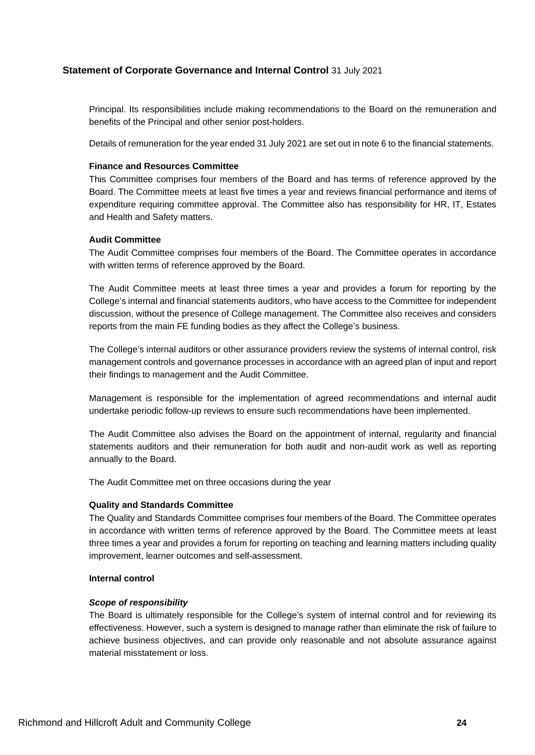Principal. Its responsibilities include making recommendations to the Board on the remuneration and benefits of the Principal and other senior post-holders.

Details of remuneration for the year ended 31 July 2021 are set out in note 6 to the financial statements.

### **Finance and Resources Committee**

This Committee comprises four members of the Board and has terms of reference approved by the Board. The Committee meets at least five times a year and reviews financial performance and items of expenditure requiring committee approval. The Committee also has responsibility for HR, IT, Estates and Health and Safety matters.

#### **Audit Committee**

The Audit Committee comprises four members of the Board. The Committee operates in accordance with written terms of reference approved by the Board.

The Audit Committee meets at least three times a year and provides a forum for reporting by the College's internal and financial statements auditors, who have access to the Committee for independent discussion, without the presence of College management. The Committee also receives and considers reports from the main FE funding bodies as they affect the College's business.

The College's internal auditors or other assurance providers review the systems of internal control, risk management controls and governance processes in accordance with an agreed plan of input and report their findings to management and the Audit Committee.

Management is responsible for the implementation of agreed recommendations and internal audit undertake periodic follow-up reviews to ensure such recommendations have been implemented.

The Audit Committee also advises the Board on the appointment of internal, regularity and financial statements auditors and their remuneration for both audit and non-audit work as well as reporting annually to the Board.

The Audit Committee met on three occasions during the year

#### **Quality and Standards Committee**

The Quality and Standards Committee comprises four members of the Board. The Committee operates in accordance with written terms of reference approved by the Board. The Committee meets at least three times a year and provides a forum for reporting on teaching and learning matters including quality improvement, learner outcomes and self-assessment.

#### **Internal control**

### *Scope of responsibility*

The Board is ultimately responsible for the College's system of internal control and for reviewing its effectiveness. However, such a system is designed to manage rather than eliminate the risk of failure to achieve business objectives, and can provide only reasonable and not absolute assurance against material misstatement or loss.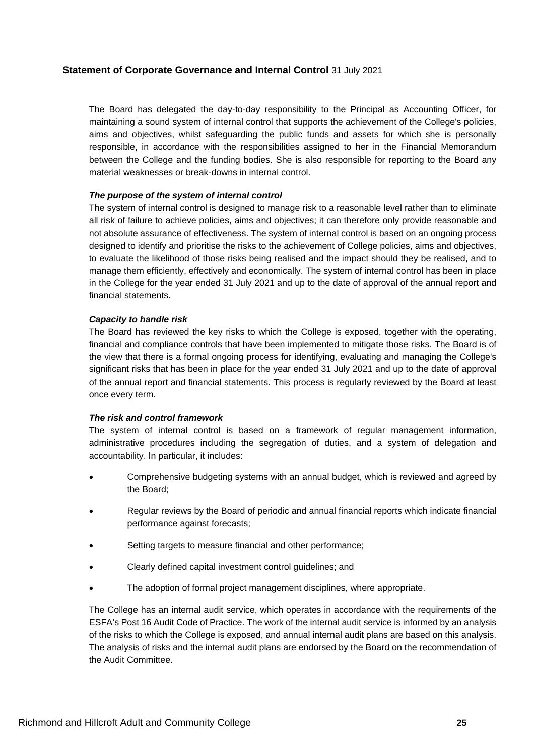The Board has delegated the day-to-day responsibility to the Principal as Accounting Officer, for maintaining a sound system of internal control that supports the achievement of the College's policies, aims and objectives, whilst safeguarding the public funds and assets for which she is personally responsible, in accordance with the responsibilities assigned to her in the Financial Memorandum between the College and the funding bodies. She is also responsible for reporting to the Board any material weaknesses or break-downs in internal control.

# *The purpose of the system of internal control*

The system of internal control is designed to manage risk to a reasonable level rather than to eliminate all risk of failure to achieve policies, aims and objectives; it can therefore only provide reasonable and not absolute assurance of effectiveness. The system of internal control is based on an ongoing process designed to identify and prioritise the risks to the achievement of College policies, aims and objectives, to evaluate the likelihood of those risks being realised and the impact should they be realised, and to manage them efficiently, effectively and economically. The system of internal control has been in place in the College for the year ended 31 July 2021 and up to the date of approval of the annual report and financial statements.

# *Capacity to handle risk*

The Board has reviewed the key risks to which the College is exposed, together with the operating, financial and compliance controls that have been implemented to mitigate those risks. The Board is of the view that there is a formal ongoing process for identifying, evaluating and managing the College's significant risks that has been in place for the year ended 31 July 2021 and up to the date of approval of the annual report and financial statements. This process is regularly reviewed by the Board at least once every term.

# *The risk and control framework*

The system of internal control is based on a framework of regular management information, administrative procedures including the segregation of duties, and a system of delegation and accountability. In particular, it includes:

- Comprehensive budgeting systems with an annual budget, which is reviewed and agreed by the Board;
- Regular reviews by the Board of periodic and annual financial reports which indicate financial performance against forecasts;
- Setting targets to measure financial and other performance;
- Clearly defined capital investment control guidelines; and
- The adoption of formal project management disciplines, where appropriate.

The College has an internal audit service, which operates in accordance with the requirements of the ESFA's Post 16 Audit Code of Practice. The work of the internal audit service is informed by an analysis of the risks to which the College is exposed, and annual internal audit plans are based on this analysis. The analysis of risks and the internal audit plans are endorsed by the Board on the recommendation of the Audit Committee.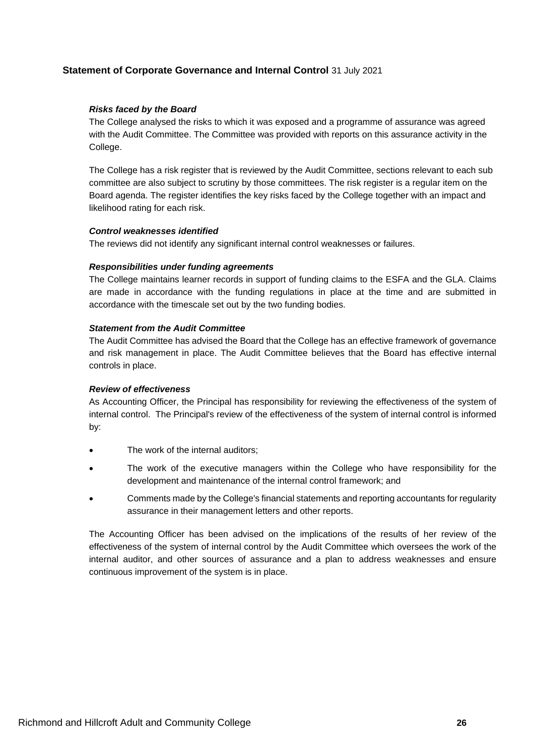### *Risks faced by the Board*

The College analysed the risks to which it was exposed and a programme of assurance was agreed with the Audit Committee. The Committee was provided with reports on this assurance activity in the College.

The College has a risk register that is reviewed by the Audit Committee, sections relevant to each sub committee are also subject to scrutiny by those committees. The risk register is a regular item on the Board agenda. The register identifies the key risks faced by the College together with an impact and likelihood rating for each risk.

### *Control weaknesses identified*

The reviews did not identify any significant internal control weaknesses or failures.

#### *Responsibilities under funding agreements*

The College maintains learner records in support of funding claims to the ESFA and the GLA. Claims are made in accordance with the funding regulations in place at the time and are submitted in accordance with the timescale set out by the two funding bodies.

### *Statement from the Audit Committee*

The Audit Committee has advised the Board that the College has an effective framework of governance and risk management in place. The Audit Committee believes that the Board has effective internal controls in place.

### *Review of effectiveness*

As Accounting Officer, the Principal has responsibility for reviewing the effectiveness of the system of internal control. The Principal's review of the effectiveness of the system of internal control is informed by:

- The work of the internal auditors;
- The work of the executive managers within the College who have responsibility for the development and maintenance of the internal control framework; and
- Comments made by the College's financial statements and reporting accountants for regularity assurance in their management letters and other reports.

The Accounting Officer has been advised on the implications of the results of her review of the effectiveness of the system of internal control by the Audit Committee which oversees the work of the internal auditor, and other sources of assurance and a plan to address weaknesses and ensure continuous improvement of the system is in place.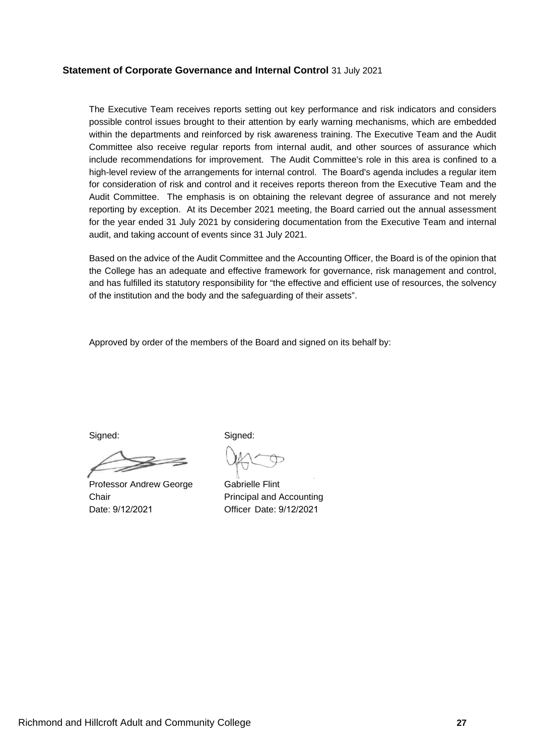The Executive Team receives reports setting out key performance and risk indicators and considers possible control issues brought to their attention by early warning mechanisms, which are embedded within the departments and reinforced by risk awareness training. The Executive Team and the Audit Committee also receive regular reports from internal audit, and other sources of assurance which include recommendations for improvement. The Audit Committee's role in this area is confined to a high-level review of the arrangements for internal control. The Board's agenda includes a regular item for consideration of risk and control and it receives reports thereon from the Executive Team and the Audit Committee. The emphasis is on obtaining the relevant degree of assurance and not merely reporting by exception. At its December 2021 meeting, the Board carried out the annual assessment for the year ended 31 July 2021 by considering documentation from the Executive Team and internal audit, and taking account of events since 31 July 2021.

Based on the advice of the Audit Committee and the Accounting Officer, the Board is of the opinion that the College has an adequate and effective framework for governance, risk management and control, and has fulfilled its statutory responsibility for "the effective and efficient use of resources, the solvency of the institution and the body and the safeguarding of their assets".

Approved by order of the members of the Board and signed on its behalf by:

Professor Andrew George Chair Date: 9/12/2021

Signed: Signed:

Gabrielle Flint Principal and Accounting Officer Date: 9/12/2021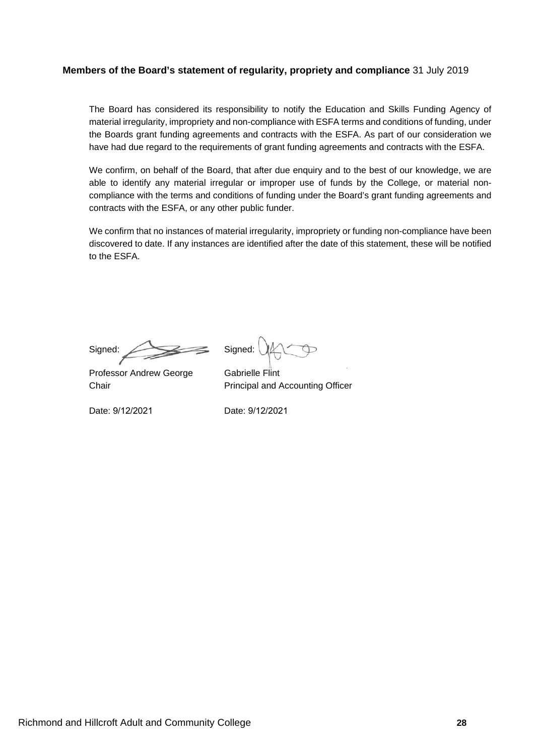# **Members of the Board's statement of regularity, propriety and compliance** 31 July 2019

The Board has considered its responsibility to notify the Education and Skills Funding Agency of material irregularity, impropriety and non-compliance with ESFA terms and conditions of funding, under the Boards grant funding agreements and contracts with the ESFA. As part of our consideration we have had due regard to the requirements of grant funding agreements and contracts with the ESFA.

We confirm, on behalf of the Board, that after due enquiry and to the best of our knowledge, we are able to identify any material irregular or improper use of funds by the College, or material noncompliance with the terms and conditions of funding under the Board's grant funding agreements and contracts with the ESFA, or any other public funder.

We confirm that no instances of material irregularity, impropriety or funding non-compliance have been discovered to date. If any instances are identified after the date of this statement, these will be notified to the ESFA.

Signed: Signed:

Professor Andrew George Gabrielle Flint

Chair **Principal and Accounting Officer** 

Date: 9/12/2021 Date: 9/12/2021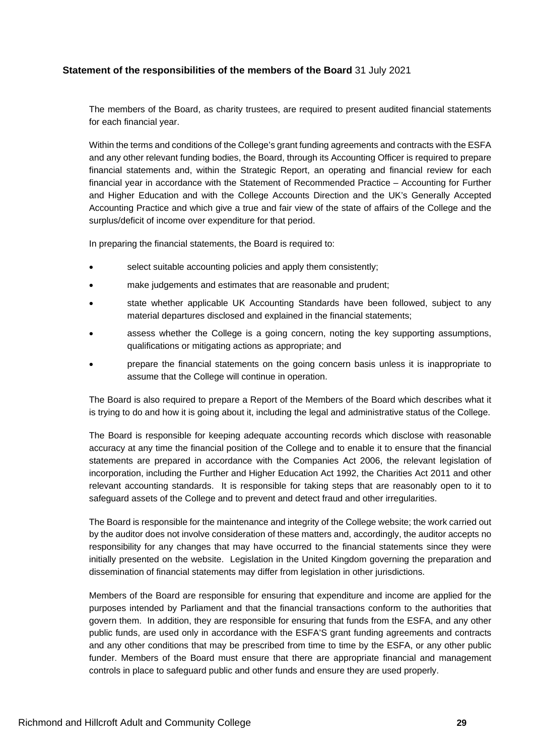# **Statement of the responsibilities of the members of the Board** 31 July 2021

The members of the Board, as charity trustees, are required to present audited financial statements for each financial year.

Within the terms and conditions of the College's grant funding agreements and contracts with the ESFA and any other relevant funding bodies, the Board, through its Accounting Officer is required to prepare financial statements and, within the Strategic Report, an operating and financial review for each financial year in accordance with the Statement of Recommended Practice – Accounting for Further and Higher Education and with the College Accounts Direction and the UK's Generally Accepted Accounting Practice and which give a true and fair view of the state of affairs of the College and the surplus/deficit of income over expenditure for that period.

In preparing the financial statements, the Board is required to:

- select suitable accounting policies and apply them consistently;
- make judgements and estimates that are reasonable and prudent;
- state whether applicable UK Accounting Standards have been followed, subject to any material departures disclosed and explained in the financial statements;
- assess whether the College is a going concern, noting the key supporting assumptions, qualifications or mitigating actions as appropriate; and
- prepare the financial statements on the going concern basis unless it is inappropriate to assume that the College will continue in operation.

The Board is also required to prepare a Report of the Members of the Board which describes what it is trying to do and how it is going about it, including the legal and administrative status of the College.

The Board is responsible for keeping adequate accounting records which disclose with reasonable accuracy at any time the financial position of the College and to enable it to ensure that the financial statements are prepared in accordance with the Companies Act 2006, the relevant legislation of incorporation, including the Further and Higher Education Act 1992, the Charities Act 2011 and other relevant accounting standards. It is responsible for taking steps that are reasonably open to it to safeguard assets of the College and to prevent and detect fraud and other irregularities.

The Board is responsible for the maintenance and integrity of the College website; the work carried out by the auditor does not involve consideration of these matters and, accordingly, the auditor accepts no responsibility for any changes that may have occurred to the financial statements since they were initially presented on the website. Legislation in the United Kingdom governing the preparation and dissemination of financial statements may differ from legislation in other jurisdictions.

Members of the Board are responsible for ensuring that expenditure and income are applied for the purposes intended by Parliament and that the financial transactions conform to the authorities that govern them. In addition, they are responsible for ensuring that funds from the ESFA, and any other public funds, are used only in accordance with the ESFA'S grant funding agreements and contracts and any other conditions that may be prescribed from time to time by the ESFA, or any other public funder. Members of the Board must ensure that there are appropriate financial and management controls in place to safeguard public and other funds and ensure they are used properly.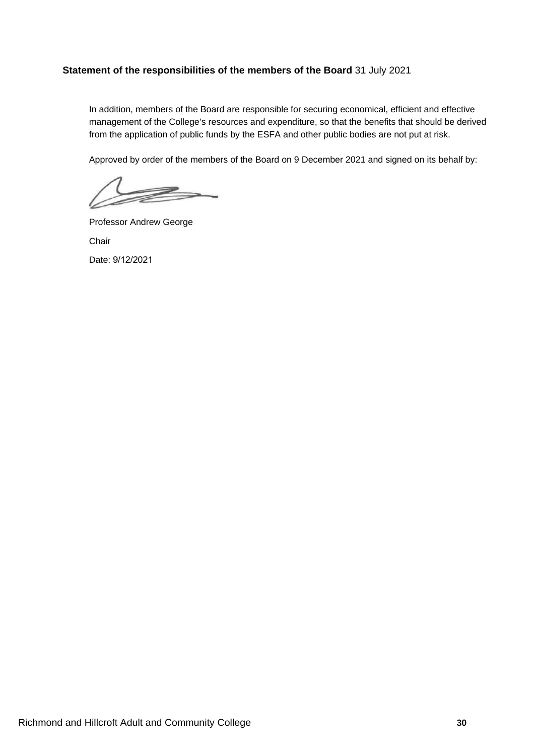# **Statement of the responsibilities of the members of the Board** 31 July 2021

In addition, members of the Board are responsible for securing economical, efficient and effective management of the College's resources and expenditure, so that the benefits that should be derived from the application of public funds by the ESFA and other public bodies are not put at risk.

Approved by order of the members of the Board on 9 December 2021 and signed on its behalf by:

Professor Andrew George **Chair** Date: 9/12/2021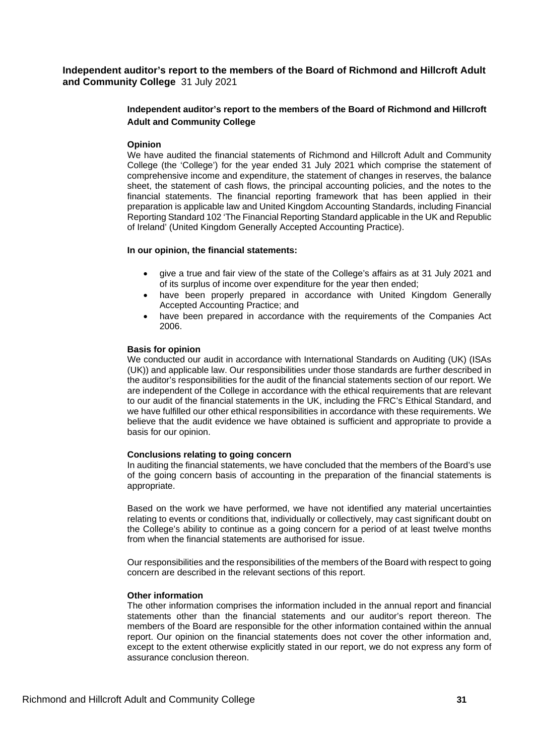# **Independent auditor's report to the members of the Board of Richmond and Hillcroft Adult and Community College**

#### **Opinion**

We have audited the financial statements of Richmond and Hillcroft Adult and Community College (the 'College') for the year ended 31 July 2021 which comprise the statement of comprehensive income and expenditure, the statement of changes in reserves, the balance sheet, the statement of cash flows, the principal accounting policies, and the notes to the financial statements. The financial reporting framework that has been applied in their preparation is applicable law and United Kingdom Accounting Standards, including Financial Reporting Standard 102 'The Financial Reporting Standard applicable in the UK and Republic of Ireland' (United Kingdom Generally Accepted Accounting Practice).

#### **In our opinion, the financial statements:**

- give a true and fair view of the state of the College's affairs as at 31 July 2021 and of its surplus of income over expenditure for the year then ended;
- have been properly prepared in accordance with United Kingdom Generally Accepted Accounting Practice; and
- have been prepared in accordance with the requirements of the Companies Act 2006.

#### **Basis for opinion**

We conducted our audit in accordance with International Standards on Auditing (UK) (ISAs (UK)) and applicable law. Our responsibilities under those standards are further described in the auditor's responsibilities for the audit of the financial statements section of our report. We are independent of the College in accordance with the ethical requirements that are relevant to our audit of the financial statements in the UK, including the FRC's Ethical Standard, and we have fulfilled our other ethical responsibilities in accordance with these requirements. We believe that the audit evidence we have obtained is sufficient and appropriate to provide a basis for our opinion.

#### **Conclusions relating to going concern**

In auditing the financial statements, we have concluded that the members of the Board's use of the going concern basis of accounting in the preparation of the financial statements is appropriate.

Based on the work we have performed, we have not identified any material uncertainties relating to events or conditions that, individually or collectively, may cast significant doubt on the College's ability to continue as a going concern for a period of at least twelve months from when the financial statements are authorised for issue.

Our responsibilities and the responsibilities of the members of the Board with respect to going concern are described in the relevant sections of this report.

#### **Other information**

The other information comprises the information included in the annual report and financial statements other than the financial statements and our auditor's report thereon. The members of the Board are responsible for the other information contained within the annual report. Our opinion on the financial statements does not cover the other information and, except to the extent otherwise explicitly stated in our report, we do not express any form of assurance conclusion thereon.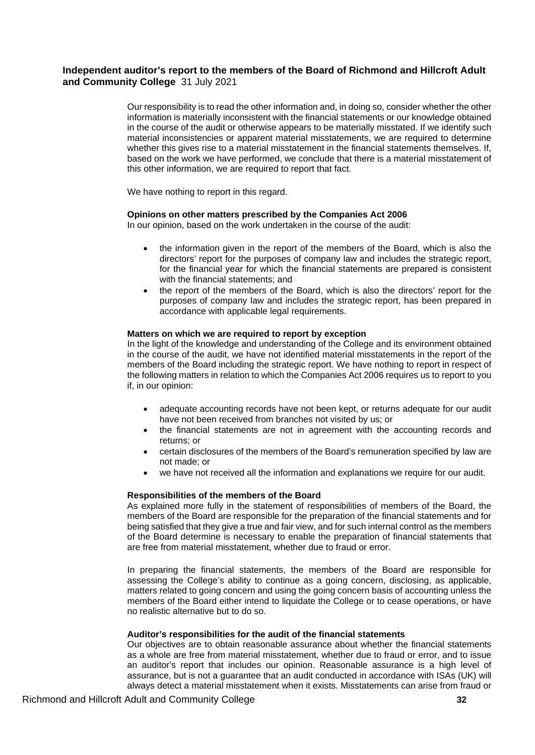Our responsibility is to read the other information and, in doing so, consider whether the other information is materially inconsistent with the financial statements or our knowledge obtained in the course of the audit or otherwise appears to be materially misstated. If we identify such material inconsistencies or apparent material misstatements, we are required to determine whether this gives rise to a material misstatement in the financial statements themselves. If, based on the work we have performed, we conclude that there is a material misstatement of this other information, we are required to report that fact.

We have nothing to report in this regard.

### **Opinions on other matters prescribed by the Companies Act 2006**

In our opinion, based on the work undertaken in the course of the audit:

- the information given in the report of the members of the Board, which is also the directors' report for the purposes of company law and includes the strategic report, for the financial year for which the financial statements are prepared is consistent with the financial statements; and
- the report of the members of the Board, which is also the directors' report for the purposes of company law and includes the strategic report, has been prepared in accordance with applicable legal requirements.

#### **Matters on which we are required to report by exception**

In the light of the knowledge and understanding of the College and its environment obtained in the course of the audit, we have not identified material misstatements in the report of the members of the Board including the strategic report. We have nothing to report in respect of the following matters in relation to which the Companies Act 2006 requires us to report to you if, in our opinion:

- adequate accounting records have not been kept, or returns adequate for our audit have not been received from branches not visited by us; or
- the financial statements are not in agreement with the accounting records and returns; or
- certain disclosures of the members of the Board's remuneration specified by law are not made; or
- we have not received all the information and explanations we require for our audit.

#### **Responsibilities of the members of the Board**

As explained more fully in the statement of responsibilities of members of the Board, the members of the Board are responsible for the preparation of the financial statements and for being satisfied that they give a true and fair view, and for such internal control as the members of the Board determine is necessary to enable the preparation of financial statements that are free from material misstatement, whether due to fraud or error.

In preparing the financial statements, the members of the Board are responsible for assessing the College's ability to continue as a going concern, disclosing, as applicable, matters related to going concern and using the going concern basis of accounting unless the members of the Board either intend to liquidate the College or to cease operations, or have no realistic alternative but to do so.

#### **Auditor's responsibilities for the audit of the financial statements**

Our objectives are to obtain reasonable assurance about whether the financial statements as a whole are free from material misstatement, whether due to fraud or error, and to issue an auditor's report that includes our opinion. Reasonable assurance is a high level of assurance, but is not a guarantee that an audit conducted in accordance with ISAs (UK) will always detect a material misstatement when it exists. Misstatements can arise from fraud or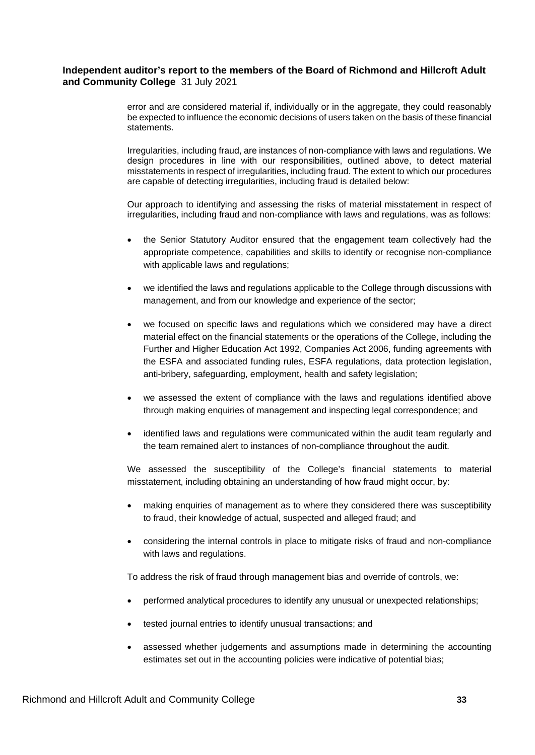error and are considered material if, individually or in the aggregate, they could reasonably be expected to influence the economic decisions of users taken on the basis of these financial statements.

Irregularities, including fraud, are instances of non-compliance with laws and regulations. We design procedures in line with our responsibilities, outlined above, to detect material misstatements in respect of irregularities, including fraud. The extent to which our procedures are capable of detecting irregularities, including fraud is detailed below:

Our approach to identifying and assessing the risks of material misstatement in respect of irregularities, including fraud and non-compliance with laws and regulations, was as follows:

- the Senior Statutory Auditor ensured that the engagement team collectively had the appropriate competence, capabilities and skills to identify or recognise non-compliance with applicable laws and regulations;
- we identified the laws and regulations applicable to the College through discussions with management, and from our knowledge and experience of the sector;
- we focused on specific laws and regulations which we considered may have a direct material effect on the financial statements or the operations of the College, including the Further and Higher Education Act 1992, Companies Act 2006, funding agreements with the ESFA and associated funding rules, ESFA regulations, data protection legislation, anti-bribery, safeguarding, employment, health and safety legislation;
- we assessed the extent of compliance with the laws and regulations identified above through making enquiries of management and inspecting legal correspondence; and
- identified laws and regulations were communicated within the audit team regularly and the team remained alert to instances of non-compliance throughout the audit.

We assessed the susceptibility of the College's financial statements to material misstatement, including obtaining an understanding of how fraud might occur, by:

- making enquiries of management as to where they considered there was susceptibility to fraud, their knowledge of actual, suspected and alleged fraud; and
- considering the internal controls in place to mitigate risks of fraud and non-compliance with laws and regulations.

To address the risk of fraud through management bias and override of controls, we:

- performed analytical procedures to identify any unusual or unexpected relationships;
- tested journal entries to identify unusual transactions; and
- assessed whether judgements and assumptions made in determining the accounting estimates set out in the accounting policies were indicative of potential bias;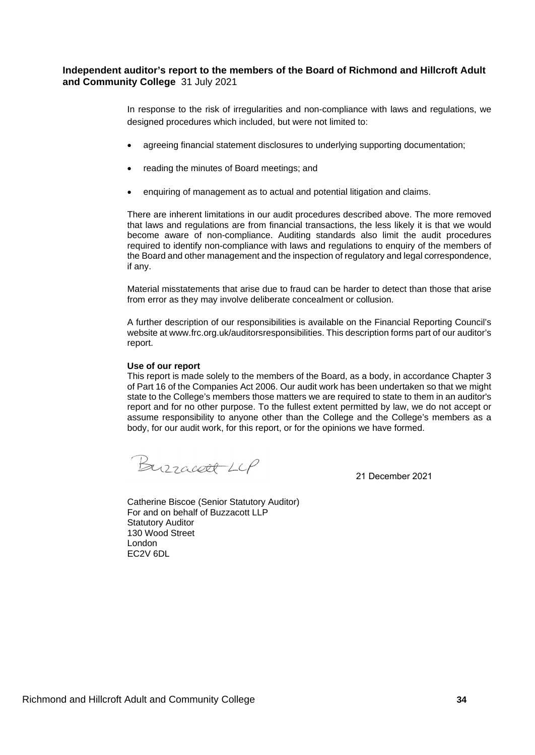In response to the risk of irregularities and non-compliance with laws and regulations, we designed procedures which included, but were not limited to:

- agreeing financial statement disclosures to underlying supporting documentation;
- reading the minutes of Board meetings; and
- enquiring of management as to actual and potential litigation and claims.

There are inherent limitations in our audit procedures described above. The more removed that laws and regulations are from financial transactions, the less likely it is that we would become aware of non-compliance. Auditing standards also limit the audit procedures required to identify non-compliance with laws and regulations to enquiry of the members of the Board and other management and the inspection of regulatory and legal correspondence, if any.

Material misstatements that arise due to fraud can be harder to detect than those that arise from error as they may involve deliberate concealment or collusion.

A further description of our responsibilities is available on the Financial Reporting Council's website at www.frc.org.uk/auditorsresponsibilities. This description forms part of our auditor's report.

#### **Use of our report**

This report is made solely to the members of the Board, as a body, in accordance Chapter 3 of Part 16 of the Companies Act 2006. Our audit work has been undertaken so that we might state to the College's members those matters we are required to state to them in an auditor's report and for no other purpose. To the fullest extent permitted by law, we do not accept or assume responsibility to anyone other than the College and the College's members as a body, for our audit work, for this report, or for the opinions we have formed.

Burracett LCP

21 December 2021

Catherine Biscoe (Senior Statutory Auditor) For and on behalf of Buzzacott LLP Statutory Auditor 130 Wood Street London EC2V 6DL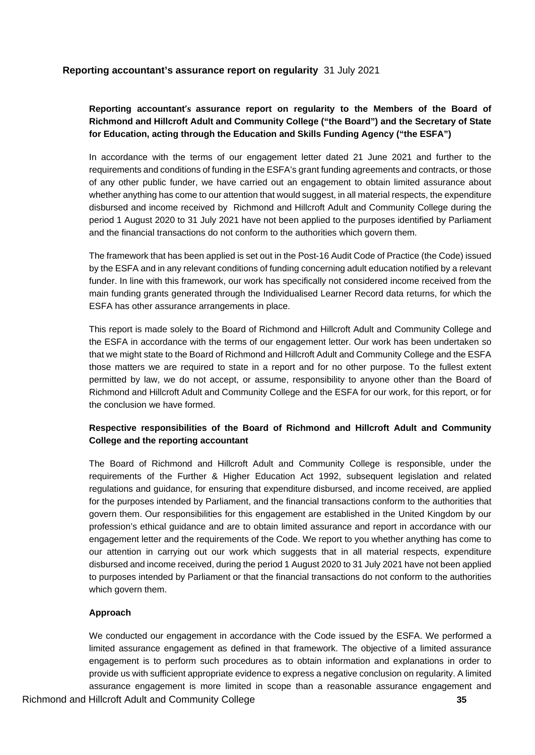# **Reporting accountant's assurance report on regularity** 31 July 2021

# **Reporting accountant's assurance report on regularity to the Members of the Board of Richmond and Hillcroft Adult and Community College ("the Board") and the Secretary of State for Education, acting through the Education and Skills Funding Agency ("the ESFA")**

In accordance with the terms of our engagement letter dated 21 June 2021 and further to the requirements and conditions of funding in the ESFA's grant funding agreements and contracts, or those of any other public funder, we have carried out an engagement to obtain limited assurance about whether anything has come to our attention that would suggest, in all material respects, the expenditure disbursed and income received by Richmond and Hillcroft Adult and Community College during the period 1 August 2020 to 31 July 2021 have not been applied to the purposes identified by Parliament and the financial transactions do not conform to the authorities which govern them.

The framework that has been applied is set out in the Post-16 Audit Code of Practice (the Code) issued by the ESFA and in any relevant conditions of funding concerning adult education notified by a relevant funder. In line with this framework, our work has specifically not considered income received from the main funding grants generated through the Individualised Learner Record data returns, for which the ESFA has other assurance arrangements in place.

This report is made solely to the Board of Richmond and Hillcroft Adult and Community College and the ESFA in accordance with the terms of our engagement letter. Our work has been undertaken so that we might state to the Board of Richmond and Hillcroft Adult and Community College and the ESFA those matters we are required to state in a report and for no other purpose. To the fullest extent permitted by law, we do not accept, or assume, responsibility to anyone other than the Board of Richmond and Hillcroft Adult and Community College and the ESFA for our work, for this report, or for the conclusion we have formed.

# **Respective responsibilities of the Board of Richmond and Hillcroft Adult and Community College and the reporting accountant**

The Board of Richmond and Hillcroft Adult and Community College is responsible, under the requirements of the Further & Higher Education Act 1992, subsequent legislation and related regulations and guidance, for ensuring that expenditure disbursed, and income received, are applied for the purposes intended by Parliament, and the financial transactions conform to the authorities that govern them. Our responsibilities for this engagement are established in the United Kingdom by our profession's ethical guidance and are to obtain limited assurance and report in accordance with our engagement letter and the requirements of the Code. We report to you whether anything has come to our attention in carrying out our work which suggests that in all material respects, expenditure disbursed and income received, during the period 1 August 2020 to 31 July 2021 have not been applied to purposes intended by Parliament or that the financial transactions do not conform to the authorities which govern them.

# **Approach**

We conducted our engagement in accordance with the Code issued by the ESFA. We performed a limited assurance engagement as defined in that framework. The objective of a limited assurance engagement is to perform such procedures as to obtain information and explanations in order to provide us with sufficient appropriate evidence to express a negative conclusion on regularity. A limited assurance engagement is more limited in scope than a reasonable assurance engagement and

Richmond and Hillcroft Adult and Community College **35**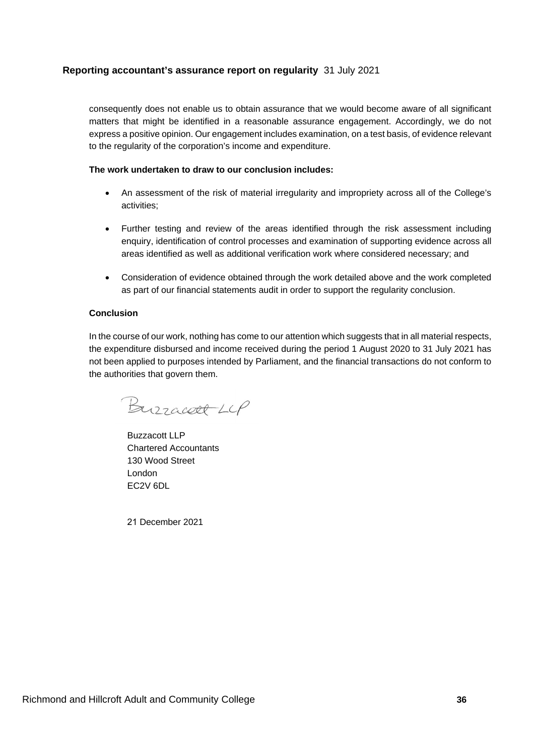# **Reporting accountant's assurance report on regularity** 31 July 2021

consequently does not enable us to obtain assurance that we would become aware of all significant matters that might be identified in a reasonable assurance engagement. Accordingly, we do not express a positive opinion. Our engagement includes examination, on a test basis, of evidence relevant to the regularity of the corporation's income and expenditure.

### **The work undertaken to draw to our conclusion includes:**

- An assessment of the risk of material irregularity and impropriety across all of the College's activities;
- Further testing and review of the areas identified through the risk assessment including enquiry, identification of control processes and examination of supporting evidence across all areas identified as well as additional verification work where considered necessary; and
- Consideration of evidence obtained through the work detailed above and the work completed as part of our financial statements audit in order to support the regularity conclusion.

# **Conclusion**

In the course of our work, nothing has come to our attention which suggests that in all material respects, the expenditure disbursed and income received during the period 1 August 2020 to 31 July 2021 has not been applied to purposes intended by Parliament, and the financial transactions do not conform to the authorities that govern them.

Burracell LCP

Buzzacott LLP Chartered Accountants 130 Wood Street London EC2V 6DL

21 December 2021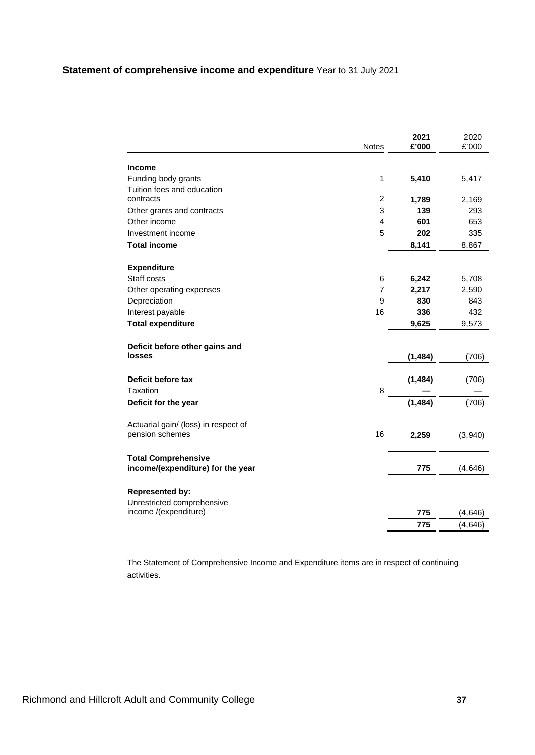|                                      | Notes          | 2021<br>£'000 | 2020<br>£'000 |
|--------------------------------------|----------------|---------------|---------------|
|                                      |                |               |               |
| <b>Income</b>                        |                |               |               |
| Funding body grants                  | 1              | 5,410         | 5,417         |
| Tuition fees and education           |                |               |               |
| contracts                            | $\overline{c}$ | 1,789         | 2,169         |
| Other grants and contracts           | 3              | 139           | 293           |
| Other income                         | $\overline{4}$ | 601           | 653           |
| Investment income                    | 5              | 202           | 335           |
| <b>Total income</b>                  |                | 8,141         | 8,867         |
| <b>Expenditure</b>                   |                |               |               |
| Staff costs                          | 6              | 6,242         | 5,708         |
| Other operating expenses             | $\overline{7}$ | 2,217         | 2,590         |
| Depreciation                         | 9              | 830           | 843           |
| Interest payable                     | 16             | 336           | 432           |
| <b>Total expenditure</b>             |                | 9,625         | 9,573         |
| Deficit before other gains and       |                |               |               |
| <b>losses</b>                        |                | (1, 484)      | (706)         |
| Deficit before tax                   |                | (1, 484)      | (706)         |
| Taxation                             | 8              |               |               |
| Deficit for the year                 |                | (1, 484)      | (706)         |
| Actuarial gain/ (loss) in respect of |                |               |               |
| pension schemes                      | 16             | 2,259         | (3,940)       |
| <b>Total Comprehensive</b>           |                |               |               |
| income/(expenditure) for the year    |                | 775           | (4,646)       |
| <b>Represented by:</b>               |                |               |               |
| Unrestricted comprehensive           |                |               |               |
| income /(expenditure)                |                | 775           | (4,646)       |
|                                      |                | 775           | (4,646)       |

The Statement of Comprehensive Income and Expenditure items are in respect of continuing activities.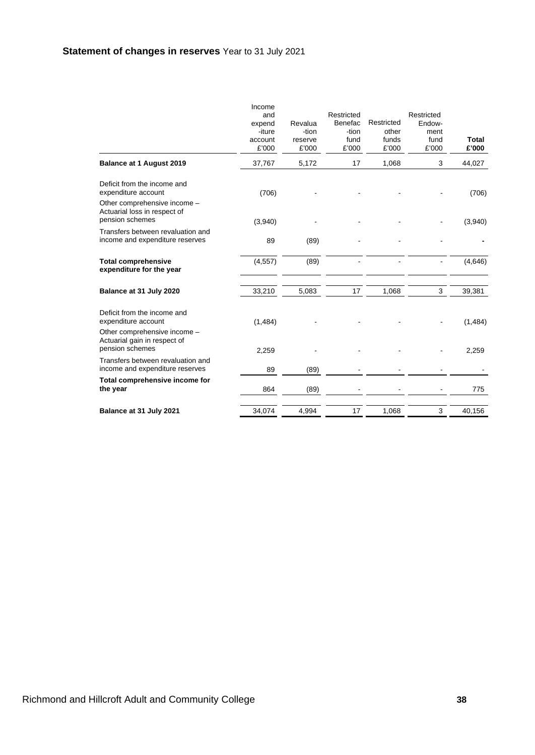|                                                                                 | Income<br>and<br>expend<br>-iture<br>account<br>£'000 | Revalua<br>-tion<br>reserve<br>£'000 | Restricted<br>Benefac<br>-tion<br>fund<br>£'000 | Restricted<br>other<br>funds<br>£'000 | Restricted<br>Endow-<br>ment<br>fund<br>£'000 | Total<br>£'000 |
|---------------------------------------------------------------------------------|-------------------------------------------------------|--------------------------------------|-------------------------------------------------|---------------------------------------|-----------------------------------------------|----------------|
| <b>Balance at 1 August 2019</b>                                                 | 37,767                                                | 5,172                                | 17                                              | 1,068                                 | 3                                             | 44,027         |
| Deficit from the income and<br>expenditure account                              | (706)                                                 |                                      |                                                 |                                       |                                               | (706)          |
| Other comprehensive income -<br>Actuarial loss in respect of<br>pension schemes | (3,940)                                               |                                      |                                                 |                                       |                                               | (3,940)        |
| Transfers between revaluation and<br>income and expenditure reserves            | 89                                                    | (89)                                 |                                                 |                                       |                                               |                |
| <b>Total comprehensive</b><br>expenditure for the year                          | (4, 557)                                              | (89)                                 |                                                 |                                       |                                               | (4,646)        |
| Balance at 31 July 2020                                                         | 33,210                                                | 5,083                                | 17                                              | 1,068                                 | 3                                             | 39,381         |
| Deficit from the income and<br>expenditure account                              | (1, 484)                                              |                                      |                                                 |                                       |                                               | (1, 484)       |
| Other comprehensive income -<br>Actuarial gain in respect of<br>pension schemes | 2,259                                                 |                                      |                                                 |                                       |                                               | 2,259          |
| Transfers between revaluation and<br>income and expenditure reserves            | 89                                                    | (89)                                 |                                                 |                                       |                                               |                |
| Total comprehensive income for<br>the year                                      | 864                                                   | (89)                                 |                                                 |                                       |                                               | 775            |
| Balance at 31 July 2021                                                         | 34,074                                                | 4,994                                | 17                                              | 1,068                                 | 3                                             | 40,156         |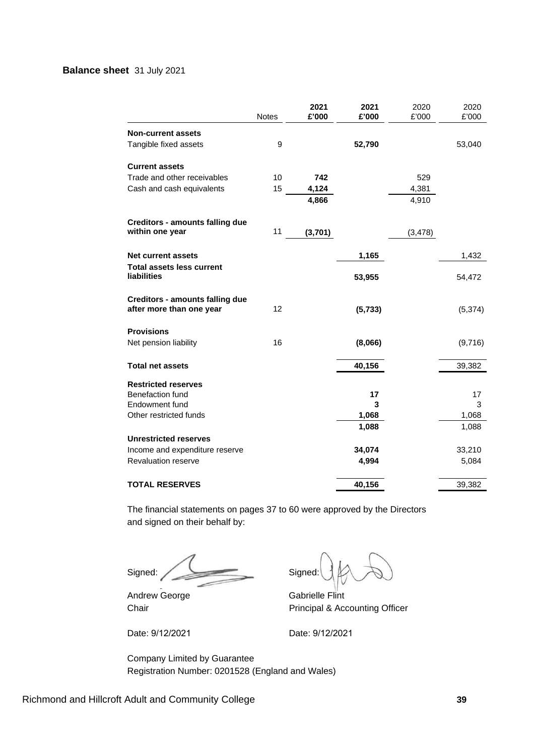# **Balance sheet** 31 July 2021

|                                                                    | Notes | 2021<br>£'000 | 2021<br>£'000 | 2020<br>£'000 | 2020<br>£'000 |
|--------------------------------------------------------------------|-------|---------------|---------------|---------------|---------------|
| <b>Non-current assets</b>                                          |       |               |               |               |               |
| Tangible fixed assets                                              | 9     |               | 52,790        |               | 53,040        |
| <b>Current assets</b>                                              |       |               |               |               |               |
| Trade and other receivables                                        | 10    | 742           |               | 529           |               |
| Cash and cash equivalents                                          | 15    | 4,124         |               | 4,381         |               |
|                                                                    |       | 4,866         |               | 4,910         |               |
| <b>Creditors - amounts falling due</b>                             |       |               |               |               |               |
| within one year                                                    | 11    | (3,701)       |               | (3, 478)      |               |
| Net current assets                                                 |       |               | 1,165         |               | 1,432         |
| <b>Total assets less current</b><br><b>liabilities</b>             |       |               | 53,955        |               | 54,472        |
| <b>Creditors - amounts falling due</b><br>after more than one year | 12    |               | (5, 733)      |               | (5, 374)      |
| <b>Provisions</b>                                                  |       |               |               |               |               |
| Net pension liability                                              | 16    |               | (8,066)       |               | (9,716)       |
| <b>Total net assets</b>                                            |       |               | 40,156        |               | 39,382        |
| <b>Restricted reserves</b>                                         |       |               |               |               |               |
| <b>Benefaction fund</b>                                            |       |               | 17            |               | 17            |
| Endowment fund                                                     |       |               | 3             |               | 3             |
| Other restricted funds                                             |       |               | 1,068         |               | 1,068         |
|                                                                    |       |               | 1,088         |               | 1,088         |
| <b>Unrestricted reserves</b>                                       |       |               |               |               |               |
| Income and expenditure reserve                                     |       |               | 34,074        |               | 33,210        |
| Revaluation reserve                                                |       |               | 4,994         |               | 5,084         |
| <b>TOTAL RESERVES</b>                                              |       |               | 40,156        |               | 39,382        |

The financial statements on pages 37 to 60 were approved by the Directors and signed on their behalf by:

Signed: Signed: Signed:

Andrew George Gabrielle Flint

Date: 9/12/2021 Date: 9/12/2021

Chair **Principal & Accounting Officer** 

Company Limited by Guarantee Registration Number: 0201528 (England and Wales)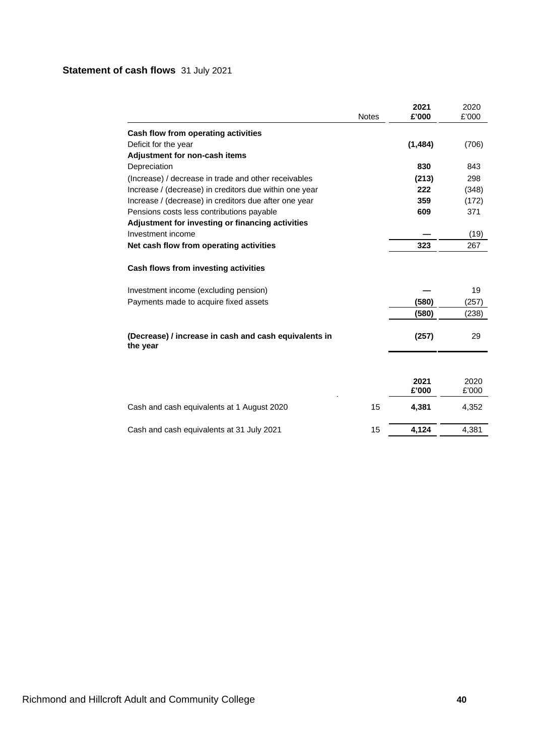# **Statement of cash flows** 31 July 2021

|                                                                               | <b>Notes</b> | 2021<br>£'000 | 2020<br>£'000 |
|-------------------------------------------------------------------------------|--------------|---------------|---------------|
| Cash flow from operating activities                                           |              |               |               |
| Deficit for the year                                                          |              | (1, 484)      | (706)         |
| Adjustment for non-cash items                                                 |              |               |               |
| Depreciation                                                                  |              | 830           | 843           |
| (Increase) / decrease in trade and other receivables                          |              | (213)         | 298           |
| Increase / (decrease) in creditors due within one year                        |              | 222           | (348)         |
| Increase / (decrease) in creditors due after one year                         |              | 359           | (172)         |
| Pensions costs less contributions payable                                     |              | 609           | 371           |
| Adjustment for investing or financing activities                              |              |               |               |
| Investment income                                                             |              |               | (19)          |
| Net cash flow from operating activities                                       |              | 323           | 267           |
| Cash flows from investing activities<br>Investment income (excluding pension) |              |               | 19            |
| Payments made to acquire fixed assets                                         |              | (580)         | (257)         |
|                                                                               |              | (580)         | (238)         |
| (Decrease) / increase in cash and cash equivalents in<br>the year             |              | (257)         | 29            |
|                                                                               |              |               |               |
|                                                                               |              | 2021<br>£'000 | 2020<br>£'000 |
| Cash and cash equivalents at 1 August 2020                                    | 15           | 4,381         | 4,352         |
| Cash and cash equivalents at 31 July 2021                                     | 15           | 4,124         | 4,381         |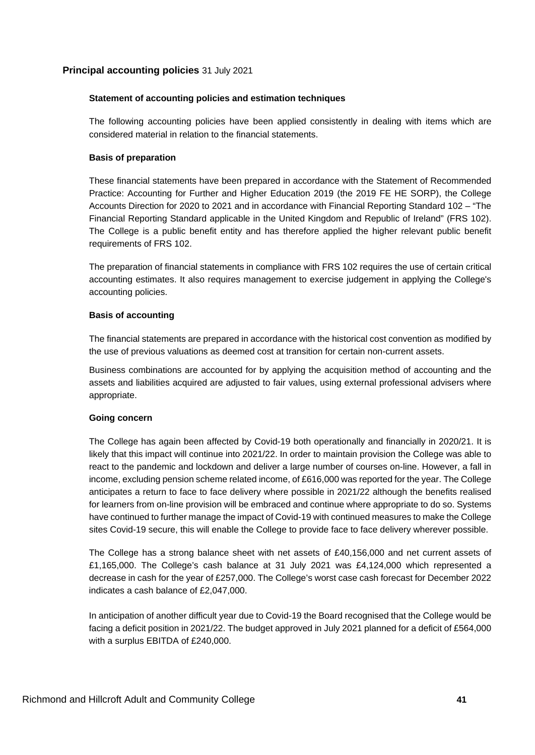# **Statement of accounting policies and estimation techniques**

The following accounting policies have been applied consistently in dealing with items which are considered material in relation to the financial statements.

### **Basis of preparation**

These financial statements have been prepared in accordance with the Statement of Recommended Practice: Accounting for Further and Higher Education 2019 (the 2019 FE HE SORP), the College Accounts Direction for 2020 to 2021 and in accordance with Financial Reporting Standard 102 – "The Financial Reporting Standard applicable in the United Kingdom and Republic of Ireland" (FRS 102). The College is a public benefit entity and has therefore applied the higher relevant public benefit requirements of FRS 102.

The preparation of financial statements in compliance with FRS 102 requires the use of certain critical accounting estimates. It also requires management to exercise judgement in applying the College's accounting policies.

### **Basis of accounting**

The financial statements are prepared in accordance with the historical cost convention as modified by the use of previous valuations as deemed cost at transition for certain non-current assets.

Business combinations are accounted for by applying the acquisition method of accounting and the assets and liabilities acquired are adjusted to fair values, using external professional advisers where appropriate.

# **Going concern**

The College has again been affected by Covid-19 both operationally and financially in 2020/21. It is likely that this impact will continue into 2021/22. In order to maintain provision the College was able to react to the pandemic and lockdown and deliver a large number of courses on-line. However, a fall in income, excluding pension scheme related income, of £616,000 was reported for the year. The College anticipates a return to face to face delivery where possible in 2021/22 although the benefits realised for learners from on-line provision will be embraced and continue where appropriate to do so. Systems have continued to further manage the impact of Covid-19 with continued measures to make the College sites Covid-19 secure, this will enable the College to provide face to face delivery wherever possible.

The College has a strong balance sheet with net assets of £40,156,000 and net current assets of £1,165,000. The College's cash balance at 31 July 2021 was £4,124,000 which represented a decrease in cash for the year of £257,000. The College's worst case cash forecast for December 2022 indicates a cash balance of £2,047,000.

In anticipation of another difficult year due to Covid-19 the Board recognised that the College would be facing a deficit position in 2021/22. The budget approved in July 2021 planned for a deficit of £564,000 with a surplus EBITDA of £240,000.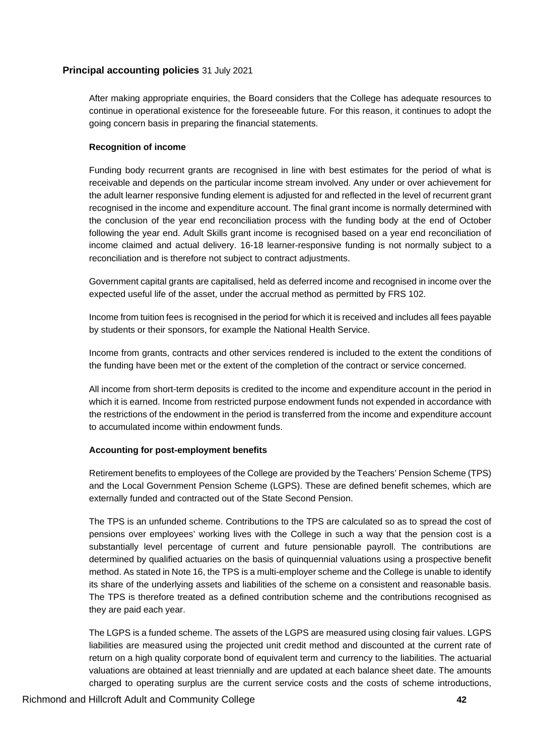After making appropriate enquiries, the Board considers that the College has adequate resources to continue in operational existence for the foreseeable future. For this reason, it continues to adopt the going concern basis in preparing the financial statements.

# **Recognition of income**

Funding body recurrent grants are recognised in line with best estimates for the period of what is receivable and depends on the particular income stream involved. Any under or over achievement for the adult learner responsive funding element is adjusted for and reflected in the level of recurrent grant recognised in the income and expenditure account. The final grant income is normally determined with the conclusion of the year end reconciliation process with the funding body at the end of October following the year end. Adult Skills grant income is recognised based on a year end reconciliation of income claimed and actual delivery. 16-18 learner-responsive funding is not normally subject to a reconciliation and is therefore not subject to contract adjustments.

Government capital grants are capitalised, held as deferred income and recognised in income over the expected useful life of the asset, under the accrual method as permitted by FRS 102.

Income from tuition fees is recognised in the period for which it is received and includes all fees payable by students or their sponsors, for example the National Health Service.

Income from grants, contracts and other services rendered is included to the extent the conditions of the funding have been met or the extent of the completion of the contract or service concerned.

All income from short-term deposits is credited to the income and expenditure account in the period in which it is earned. Income from restricted purpose endowment funds not expended in accordance with the restrictions of the endowment in the period is transferred from the income and expenditure account to accumulated income within endowment funds.

# **Accounting for post-employment benefits**

Retirement benefits to employees of the College are provided by the Teachers' Pension Scheme (TPS) and the Local Government Pension Scheme (LGPS). These are defined benefit schemes, which are externally funded and contracted out of the State Second Pension.

The TPS is an unfunded scheme. Contributions to the TPS are calculated so as to spread the cost of pensions over employees' working lives with the College in such a way that the pension cost is a substantially level percentage of current and future pensionable payroll. The contributions are determined by qualified actuaries on the basis of quinquennial valuations using a prospective benefit method. As stated in Note 16, the TPS is a multi-employer scheme and the College is unable to identify its share of the underlying assets and liabilities of the scheme on a consistent and reasonable basis. The TPS is therefore treated as a defined contribution scheme and the contributions recognised as they are paid each year.

The LGPS is a funded scheme. The assets of the LGPS are measured using closing fair values. LGPS liabilities are measured using the projected unit credit method and discounted at the current rate of return on a high quality corporate bond of equivalent term and currency to the liabilities. The actuarial valuations are obtained at least triennially and are updated at each balance sheet date. The amounts charged to operating surplus are the current service costs and the costs of scheme introductions,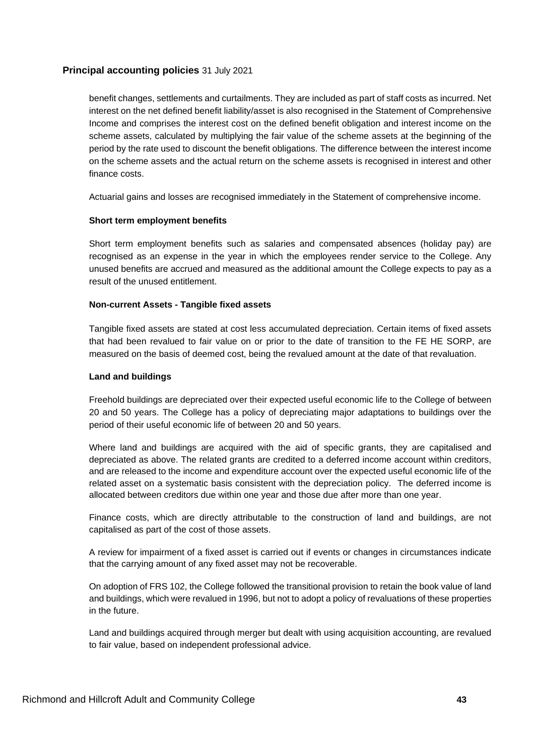benefit changes, settlements and curtailments. They are included as part of staff costs as incurred. Net interest on the net defined benefit liability/asset is also recognised in the Statement of Comprehensive Income and comprises the interest cost on the defined benefit obligation and interest income on the scheme assets, calculated by multiplying the fair value of the scheme assets at the beginning of the period by the rate used to discount the benefit obligations. The difference between the interest income on the scheme assets and the actual return on the scheme assets is recognised in interest and other finance costs.

Actuarial gains and losses are recognised immediately in the Statement of comprehensive income.

# **Short term employment benefits**

Short term employment benefits such as salaries and compensated absences (holiday pay) are recognised as an expense in the year in which the employees render service to the College. Any unused benefits are accrued and measured as the additional amount the College expects to pay as a result of the unused entitlement.

### **Non-current Assets - Tangible fixed assets**

Tangible fixed assets are stated at cost less accumulated depreciation. Certain items of fixed assets that had been revalued to fair value on or prior to the date of transition to the FE HE SORP, are measured on the basis of deemed cost, being the revalued amount at the date of that revaluation.

### **Land and buildings**

Freehold buildings are depreciated over their expected useful economic life to the College of between 20 and 50 years. The College has a policy of depreciating major adaptations to buildings over the period of their useful economic life of between 20 and 50 years.

Where land and buildings are acquired with the aid of specific grants, they are capitalised and depreciated as above. The related grants are credited to a deferred income account within creditors, and are released to the income and expenditure account over the expected useful economic life of the related asset on a systematic basis consistent with the depreciation policy. The deferred income is allocated between creditors due within one year and those due after more than one year.

Finance costs, which are directly attributable to the construction of land and buildings, are not capitalised as part of the cost of those assets.

A review for impairment of a fixed asset is carried out if events or changes in circumstances indicate that the carrying amount of any fixed asset may not be recoverable.

On adoption of FRS 102, the College followed the transitional provision to retain the book value of land and buildings, which were revalued in 1996, but not to adopt a policy of revaluations of these properties in the future.

Land and buildings acquired through merger but dealt with using acquisition accounting, are revalued to fair value, based on independent professional advice.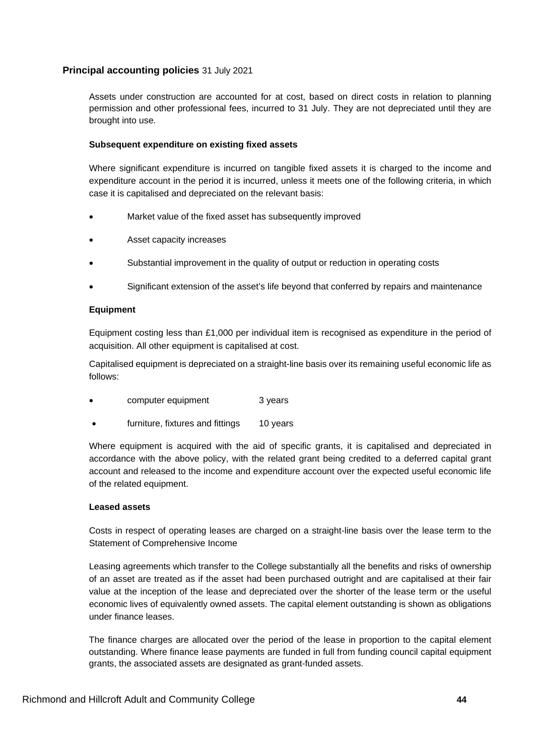Assets under construction are accounted for at cost, based on direct costs in relation to planning permission and other professional fees, incurred to 31 July. They are not depreciated until they are brought into use.

# **Subsequent expenditure on existing fixed assets**

Where significant expenditure is incurred on tangible fixed assets it is charged to the income and expenditure account in the period it is incurred, unless it meets one of the following criteria, in which case it is capitalised and depreciated on the relevant basis:

- Market value of the fixed asset has subsequently improved
- Asset capacity increases
- Substantial improvement in the quality of output or reduction in operating costs
- Significant extension of the asset's life beyond that conferred by repairs and maintenance

# **Equipment**

Equipment costing less than £1,000 per individual item is recognised as expenditure in the period of acquisition. All other equipment is capitalised at cost.

Capitalised equipment is depreciated on a straight-line basis over its remaining useful economic life as follows:

- computer equipment 3 years
- furniture, fixtures and fittings 10 years

Where equipment is acquired with the aid of specific grants, it is capitalised and depreciated in accordance with the above policy, with the related grant being credited to a deferred capital grant account and released to the income and expenditure account over the expected useful economic life of the related equipment.

# **Leased assets**

Costs in respect of operating leases are charged on a straight-line basis over the lease term to the Statement of Comprehensive Income

Leasing agreements which transfer to the College substantially all the benefits and risks of ownership of an asset are treated as if the asset had been purchased outright and are capitalised at their fair value at the inception of the lease and depreciated over the shorter of the lease term or the useful economic lives of equivalently owned assets. The capital element outstanding is shown as obligations under finance leases.

The finance charges are allocated over the period of the lease in proportion to the capital element outstanding. Where finance lease payments are funded in full from funding council capital equipment grants, the associated assets are designated as grant-funded assets.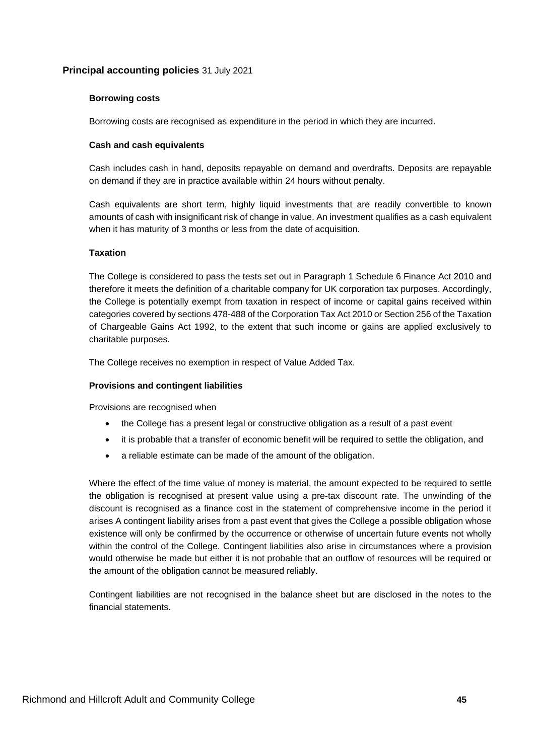# **Borrowing costs**

Borrowing costs are recognised as expenditure in the period in which they are incurred.

# **Cash and cash equivalents**

Cash includes cash in hand, deposits repayable on demand and overdrafts. Deposits are repayable on demand if they are in practice available within 24 hours without penalty.

Cash equivalents are short term, highly liquid investments that are readily convertible to known amounts of cash with insignificant risk of change in value. An investment qualifies as a cash equivalent when it has maturity of 3 months or less from the date of acquisition.

# **Taxation**

The College is considered to pass the tests set out in Paragraph 1 Schedule 6 Finance Act 2010 and therefore it meets the definition of a charitable company for UK corporation tax purposes. Accordingly, the College is potentially exempt from taxation in respect of income or capital gains received within categories covered by sections 478-488 of the Corporation Tax Act 2010 or Section 256 of the Taxation of Chargeable Gains Act 1992, to the extent that such income or gains are applied exclusively to charitable purposes.

The College receives no exemption in respect of Value Added Tax.

# **Provisions and contingent liabilities**

Provisions are recognised when

- the College has a present legal or constructive obligation as a result of a past event
- it is probable that a transfer of economic benefit will be required to settle the obligation, and
- a reliable estimate can be made of the amount of the obligation.

Where the effect of the time value of money is material, the amount expected to be required to settle the obligation is recognised at present value using a pre-tax discount rate. The unwinding of the discount is recognised as a finance cost in the statement of comprehensive income in the period it arises A contingent liability arises from a past event that gives the College a possible obligation whose existence will only be confirmed by the occurrence or otherwise of uncertain future events not wholly within the control of the College. Contingent liabilities also arise in circumstances where a provision would otherwise be made but either it is not probable that an outflow of resources will be required or the amount of the obligation cannot be measured reliably.

Contingent liabilities are not recognised in the balance sheet but are disclosed in the notes to the financial statements.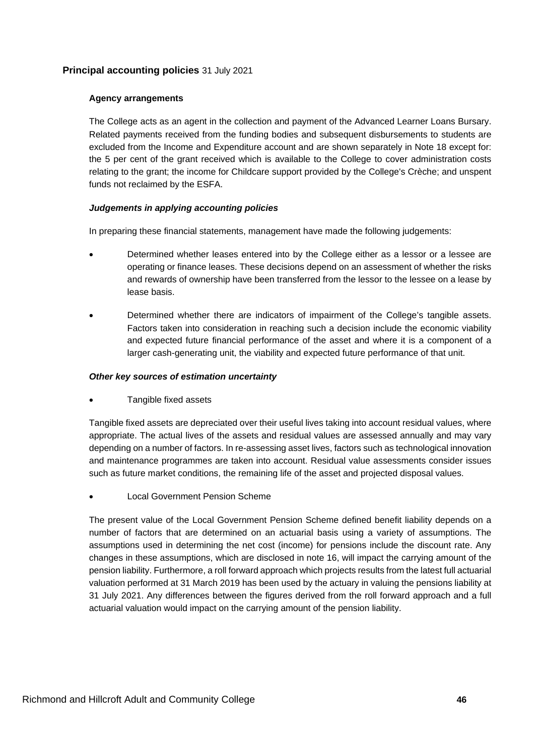# **Agency arrangements**

The College acts as an agent in the collection and payment of the Advanced Learner Loans Bursary. Related payments received from the funding bodies and subsequent disbursements to students are excluded from the Income and Expenditure account and are shown separately in Note 18 except for: the 5 per cent of the grant received which is available to the College to cover administration costs relating to the grant; the income for Childcare support provided by the College's Crèche; and unspent funds not reclaimed by the ESFA.

# *Judgements in applying accounting policies*

In preparing these financial statements, management have made the following judgements:

- Determined whether leases entered into by the College either as a lessor or a lessee are operating or finance leases. These decisions depend on an assessment of whether the risks and rewards of ownership have been transferred from the lessor to the lessee on a lease by lease basis.
- Determined whether there are indicators of impairment of the College's tangible assets. Factors taken into consideration in reaching such a decision include the economic viability and expected future financial performance of the asset and where it is a component of a larger cash-generating unit, the viability and expected future performance of that unit.

# *Other key sources of estimation uncertainty*

• Tangible fixed assets

Tangible fixed assets are depreciated over their useful lives taking into account residual values, where appropriate. The actual lives of the assets and residual values are assessed annually and may vary depending on a number of factors. In re-assessing asset lives, factors such as technological innovation and maintenance programmes are taken into account. Residual value assessments consider issues such as future market conditions, the remaining life of the asset and projected disposal values.

• Local Government Pension Scheme

The present value of the Local Government Pension Scheme defined benefit liability depends on a number of factors that are determined on an actuarial basis using a variety of assumptions. The assumptions used in determining the net cost (income) for pensions include the discount rate. Any changes in these assumptions, which are disclosed in note 16, will impact the carrying amount of the pension liability. Furthermore, a roll forward approach which projects results from the latest full actuarial valuation performed at 31 March 2019 has been used by the actuary in valuing the pensions liability at 31 July 2021. Any differences between the figures derived from the roll forward approach and a full actuarial valuation would impact on the carrying amount of the pension liability.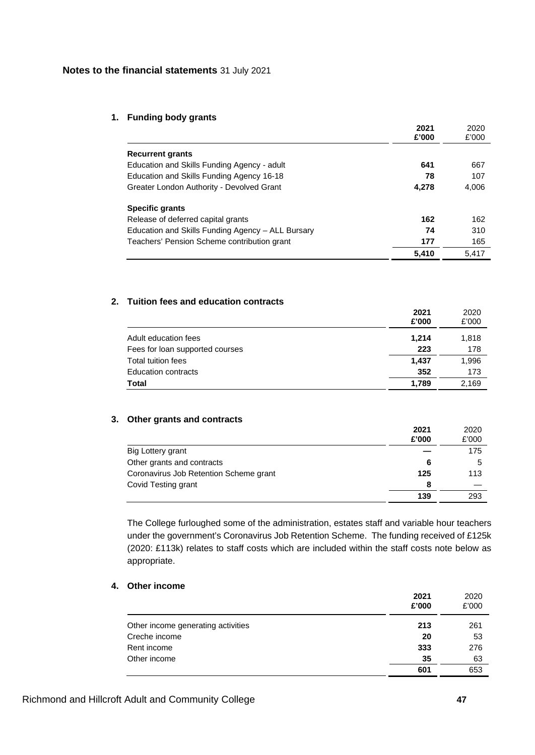### **1. Funding body grants**

|                                                   | 2021<br>£'000 | 2020<br>£'000 |
|---------------------------------------------------|---------------|---------------|
|                                                   |               |               |
| <b>Recurrent grants</b>                           |               |               |
| Education and Skills Funding Agency - adult       | 641           | 667           |
| Education and Skills Funding Agency 16-18         | 78            | 107           |
| Greater London Authority - Devolved Grant         | 4.278         | 4,006         |
| Specific grants                                   |               |               |
| Release of deferred capital grants                | 162           | 162           |
| Education and Skills Funding Agency – ALL Bursary | 74            | 310           |
| Teachers' Pension Scheme contribution grant       | 177           | 165           |
|                                                   | 5.410         | 5.417         |

# **2. Tuition fees and education contracts**

|                                 | 2021<br>£'000 | 2020<br>£'000 |
|---------------------------------|---------------|---------------|
| Adult education fees            | 1.214         | 1,818         |
| Fees for loan supported courses | 223           | 178           |
| Total tuition fees              | 1.437         | 1,996         |
| <b>Education contracts</b>      | 352           | 173           |
| <b>Total</b>                    | 1.789         | 2.169         |

# **3. Other grants and contracts**

|                                        | 2021<br>£'000 | 2020<br>£'000 |
|----------------------------------------|---------------|---------------|
| Big Lottery grant                      |               | 175           |
| Other grants and contracts             | 6             | 5             |
| Coronavirus Job Retention Scheme grant | 125           | 113           |
| Covid Testing grant                    | 8             |               |
|                                        | 139           | 293           |

The College furloughed some of the administration, estates staff and variable hour teachers under the government's Coronavirus Job Retention Scheme. The funding received of £125k (2020: £113k) relates to staff costs which are included within the staff costs note below as appropriate.

# **4. Other income**

|                                    | 2021<br>£'000 | 2020<br>£'000 |
|------------------------------------|---------------|---------------|
| Other income generating activities | 213           | 261           |
| Creche income                      | 20            | 53            |
| Rent income                        | 333           | 276           |
| Other income                       | 35            | 63            |
|                                    | 601           | 653           |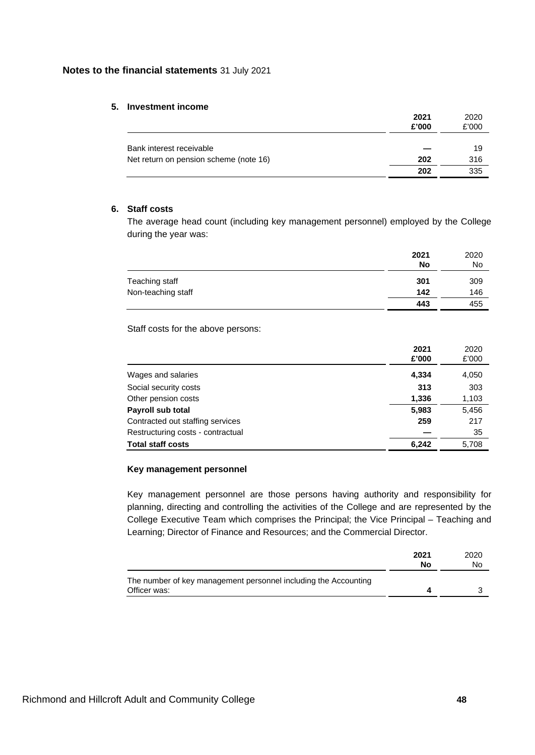### **5. Investment income**

|                                        | 2021<br>£'000 | 2020<br>£'000 |
|----------------------------------------|---------------|---------------|
| Bank interest receivable               |               | 19            |
| Net return on pension scheme (note 16) | 202           | 316           |
|                                        | 202           | 335           |

# **6. Staff costs**

The average head count (including key management personnel) employed by the College during the year was:

|                    | 2021<br>No | 2020<br>No |
|--------------------|------------|------------|
| Teaching staff     | 301        | 309        |
| Non-teaching staff | 142        | 146        |
|                    | 443        | 455        |

Staff costs for the above persons:

|                                   | 2021<br>£'000 | 2020<br>£'000 |
|-----------------------------------|---------------|---------------|
| Wages and salaries                | 4,334         | 4,050         |
| Social security costs             | 313           | 303           |
| Other pension costs               | 1,336         | 1,103         |
| Payroll sub total                 | 5,983         | 5,456         |
| Contracted out staffing services  | 259           | 217           |
| Restructuring costs - contractual |               | 35            |
| <b>Total staff costs</b>          | 6,242         | 5,708         |

# **Key management personnel**

Key management personnel are those persons having authority and responsibility for planning, directing and controlling the activities of the College and are represented by the College Executive Team which comprises the Principal; the Vice Principal – Teaching and Learning; Director of Finance and Resources; and the Commercial Director.

|                                                                                 | 2021<br>No | 2020<br>No |
|---------------------------------------------------------------------------------|------------|------------|
| The number of key management personnel including the Accounting<br>Officer was: |            |            |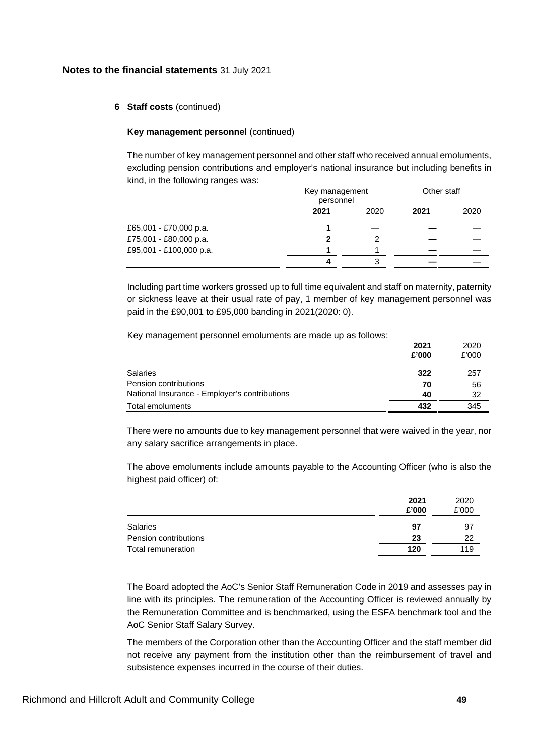### **6 Staff costs** (continued)

#### **Key management personnel** (continued)

The number of key management personnel and other staff who received annual emoluments, excluding pension contributions and employer's national insurance but including benefits in kind, in the following ranges was:

|                         |      | Key management<br>personnel |      | Other staff |
|-------------------------|------|-----------------------------|------|-------------|
|                         | 2021 | 2020                        | 2021 | 2020        |
| £65,001 - £70,000 p.a.  |      |                             |      |             |
| £75,001 - £80,000 p.a.  |      | 2                           |      |             |
| £95,001 - £100,000 p.a. |      |                             |      |             |
|                         |      |                             |      |             |
|                         |      |                             |      |             |

Including part time workers grossed up to full time equivalent and staff on maternity, paternity or sickness leave at their usual rate of pay, 1 member of key management personnel was paid in the £90,001 to £95,000 banding in 2021(2020: 0).

Key management personnel emoluments are made up as follows:

|                                               | 2021<br>£'000 | 2020<br>£'000 |
|-----------------------------------------------|---------------|---------------|
| Salaries                                      | 322           | 257           |
| Pension contributions                         | 70            | 56            |
| National Insurance - Employer's contributions | 40            | 32            |
| Total emoluments                              | 432           | 345           |

There were no amounts due to key management personnel that were waived in the year, nor any salary sacrifice arrangements in place.

The above emoluments include amounts payable to the Accounting Officer (who is also the highest paid officer) of:

|                       | 2021  | 2020  |
|-----------------------|-------|-------|
|                       | £'000 | £'000 |
| <b>Salaries</b>       | 97    | -97   |
| Pension contributions | 23    | 22    |
| Total remuneration    | 120   | 119   |

The Board adopted the AoC's Senior Staff Remuneration Code in 2019 and assesses pay in line with its principles. The remuneration of the Accounting Officer is reviewed annually by the Remuneration Committee and is benchmarked, using the ESFA benchmark tool and the AoC Senior Staff Salary Survey.

The members of the Corporation other than the Accounting Officer and the staff member did not receive any payment from the institution other than the reimbursement of travel and subsistence expenses incurred in the course of their duties.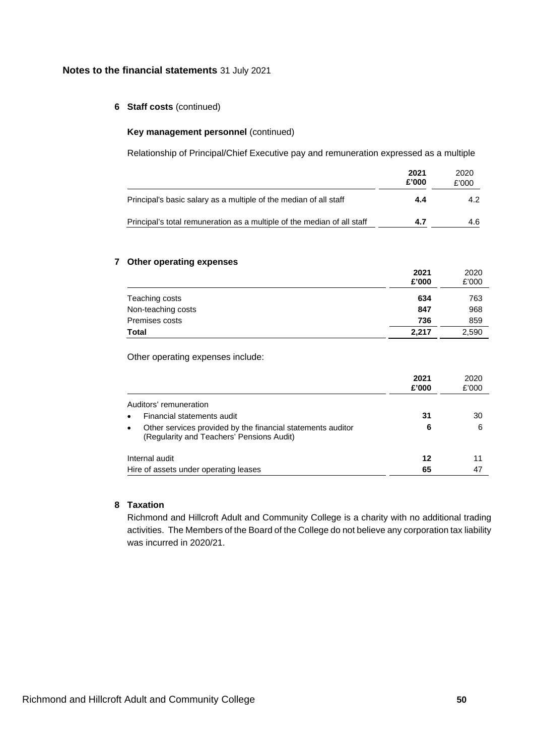# **6 Staff costs** (continued)

### **Key management personnel** (continued)

Relationship of Principal/Chief Executive pay and remuneration expressed as a multiple

|                                                                         | 2021<br>£'000 | 2020<br>£'000 |
|-------------------------------------------------------------------------|---------------|---------------|
| Principal's basic salary as a multiple of the median of all staff       | 4.4           | 4.2           |
| Principal's total remuneration as a multiple of the median of all staff | 4.7           | 4.6           |

### **7 Other operating expenses**

|                    | 2021<br>£'000 | 2020<br>£'000 |
|--------------------|---------------|---------------|
| Teaching costs     | 634           | 763           |
| Non-teaching costs | 847           | 968           |
| Premises costs     | 736           | 859           |
| <b>Total</b>       | 2,217         | 2,590         |

Other operating expenses include:

|                                                                                                                       | 2021<br>£'000 | 2020<br>£'000 |
|-----------------------------------------------------------------------------------------------------------------------|---------------|---------------|
| Auditors' remuneration                                                                                                |               |               |
| Financial statements audit<br>$\bullet$                                                                               | 31            | 30            |
| Other services provided by the financial statements auditor<br>$\bullet$<br>(Regularity and Teachers' Pensions Audit) | 6             | 6             |
| Internal audit                                                                                                        | 12            | 11            |
| Hire of assets under operating leases                                                                                 | 65            | 47            |

# **8 Taxation**

Richmond and Hillcroft Adult and Community College is a charity with no additional trading activities. The Members of the Board of the College do not believe any corporation tax liability was incurred in 2020/21.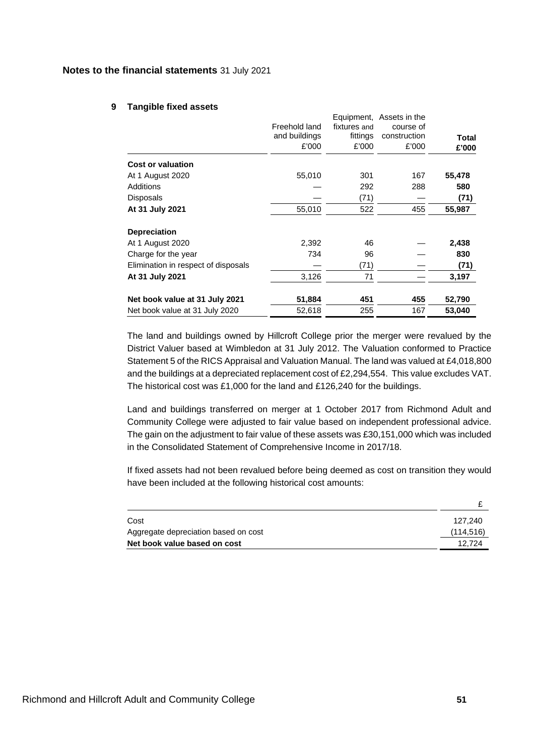#### **9 Tangible fixed assets**

|                                     | Freehold land<br>and buildings | fixtures and<br>fittings | Equipment, Assets in the<br>course of<br>construction | <b>Total</b> |
|-------------------------------------|--------------------------------|--------------------------|-------------------------------------------------------|--------------|
|                                     | £'000                          | £'000                    | £'000                                                 | £'000        |
| <b>Cost or valuation</b>            |                                |                          |                                                       |              |
| At 1 August 2020                    | 55,010                         | 301                      | 167                                                   | 55,478       |
| Additions                           |                                | 292                      | 288                                                   | 580          |
| Disposals                           |                                | (71)                     |                                                       | (71)         |
| At 31 July 2021                     | 55,010                         | 522                      | 455                                                   | 55,987       |
| <b>Depreciation</b>                 |                                |                          |                                                       |              |
| At 1 August 2020                    | 2,392                          | 46                       |                                                       | 2,438        |
| Charge for the year                 | 734                            | 96                       |                                                       | 830          |
| Elimination in respect of disposals |                                | (71)                     |                                                       | (71)         |
| At 31 July 2021                     | 3,126                          | 71                       |                                                       | 3,197        |
| Net book value at 31 July 2021      | 51,884                         | 451                      | 455                                                   | 52,790       |
| Net book value at 31 July 2020      | 52,618                         | 255                      | 167                                                   | 53,040       |

The land and buildings owned by Hillcroft College prior the merger were revalued by the District Valuer based at Wimbledon at 31 July 2012. The Valuation conformed to Practice Statement 5 of the RICS Appraisal and Valuation Manual. The land was valued at £4,018,800 and the buildings at a depreciated replacement cost of £2,294,554. This value excludes VAT. The historical cost was £1,000 for the land and £126,240 for the buildings.

Land and buildings transferred on merger at 1 October 2017 from Richmond Adult and Community College were adjusted to fair value based on independent professional advice. The gain on the adjustment to fair value of these assets was £30,151,000 which was included in the Consolidated Statement of Comprehensive Income in 2017/18.

If fixed assets had not been revalued before being deemed as cost on transition they would have been included at the following historical cost amounts:

| Cost                                 | 127.240    |
|--------------------------------------|------------|
| Aggregate depreciation based on cost | (114, 516) |
| Net book value based on cost         | 12.724     |

£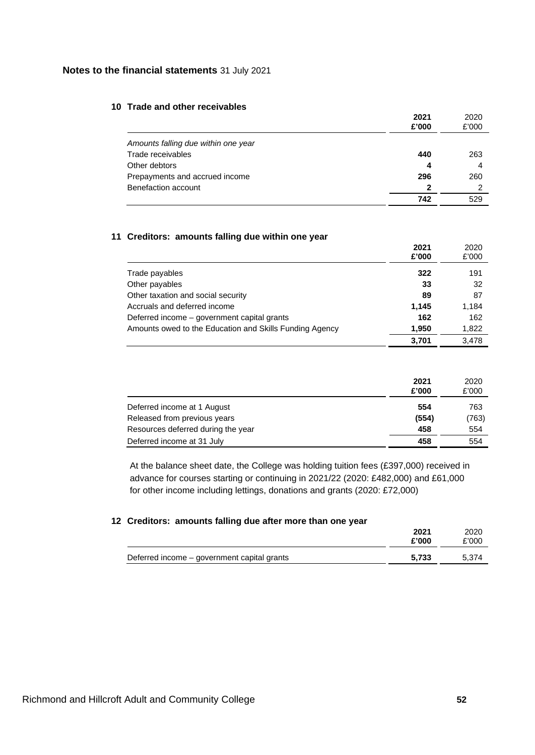# **10 Trade and other receivables**

|                                     | 2021<br>£'000 | 2020<br>£'000 |
|-------------------------------------|---------------|---------------|
| Amounts falling due within one year |               |               |
| Trade receivables                   | 440           | 263           |
| Other debtors                       | 4             | 4             |
| Prepayments and accrued income      | 296           | 260           |
| Benefaction account                 | 2             | 2             |
|                                     | 742           | 529           |

# **11 Creditors: amounts falling due within one year**

|                                                         | 2021<br>£'000 | 2020<br>£'000 |
|---------------------------------------------------------|---------------|---------------|
| Trade payables                                          | 322           | 191           |
| Other payables                                          | 33            | 32            |
| Other taxation and social security                      | 89            | 87            |
| Accruals and deferred income                            | 1,145         | 1,184         |
| Deferred income – government capital grants             | 162           | 162           |
| Amounts owed to the Education and Skills Funding Agency | 1,950         | 1,822         |
|                                                         | 3.701         | 3.478         |

|                                    | 2021<br>£'000 | 2020<br>£'000 |
|------------------------------------|---------------|---------------|
| Deferred income at 1 August        | 554           | 763           |
| Released from previous years       | (554)         | (763)         |
| Resources deferred during the year | 458           | 554           |
| Deferred income at 31 July         | 458           | 554           |

At the balance sheet date, the College was holding tuition fees (£397,000) received in advance for courses starting or continuing in 2021/22 (2020: £482,000) and £61,000 for other income including lettings, donations and grants (2020: £72,000)

### **12 Creditors: amounts falling due after more than one year**

|                                             | 2021<br>£'000 | 2020<br>£'000 |
|---------------------------------------------|---------------|---------------|
| Deferred income – government capital grants | 5.733         | 5.374         |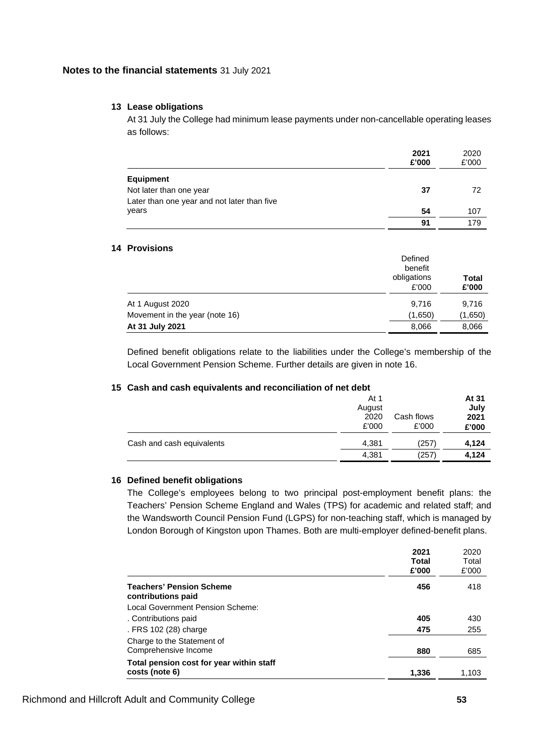# **13 Lease obligations**

At 31 July the College had minimum lease payments under non-cancellable operating leases as follows:

|                                             | 2021<br>£'000 | 2020<br>£'000 |
|---------------------------------------------|---------------|---------------|
| Equipment                                   |               |               |
| Not later than one year                     | 37            | 72            |
| Later than one year and not later than five |               |               |
| years                                       | 54            | 107           |
|                                             | 91            | 179           |

# **14 Provisions**

|                                | Defined<br>benefit<br>obligations<br>£'000 | Total<br>£'000 |
|--------------------------------|--------------------------------------------|----------------|
| At 1 August 2020               | 9,716                                      | 9,716          |
| Movement in the year (note 16) | (1,650)                                    | (1,650)        |
| At 31 July 2021                | 8,066                                      | 8,066          |

Defined benefit obligations relate to the liabilities under the College's membership of the Local Government Pension Scheme. Further details are given in note 16.

### **15 Cash and cash equivalents and reconciliation of net debt**

|                           | At 1<br>August<br>2020<br>£'000 | Cash flows<br>£'000 | At 31<br>July<br>2021<br>£'000 |
|---------------------------|---------------------------------|---------------------|--------------------------------|
| Cash and cash equivalents | 4,381                           | (257)               | 4,124                          |
|                           | 4,381                           | (257)               | 4.124                          |

### **16 Defined benefit obligations**

The College's employees belong to two principal post-employment benefit plans: the Teachers' Pension Scheme England and Wales (TPS) for academic and related staff; and the Wandsworth Council Pension Fund (LGPS) for non-teaching staff, which is managed by London Borough of Kingston upon Thames. Both are multi-employer defined-benefit plans.

|                                                       | 2021<br>Total | 2020<br>Total |
|-------------------------------------------------------|---------------|---------------|
|                                                       | £'000         | £'000         |
| <b>Teachers' Pension Scheme</b><br>contributions paid | 456           | 418           |
| Local Government Pension Scheme:                      |               |               |
| . Contributions paid                                  | 405           | 430           |
| . FRS 102 (28) charge                                 | 475           | 255           |
| Charge to the Statement of<br>Comprehensive Income    | 880           | 685           |
| Total pension cost for year within staff              |               |               |
| costs (note 6)                                        | 1,336         | 1,103         |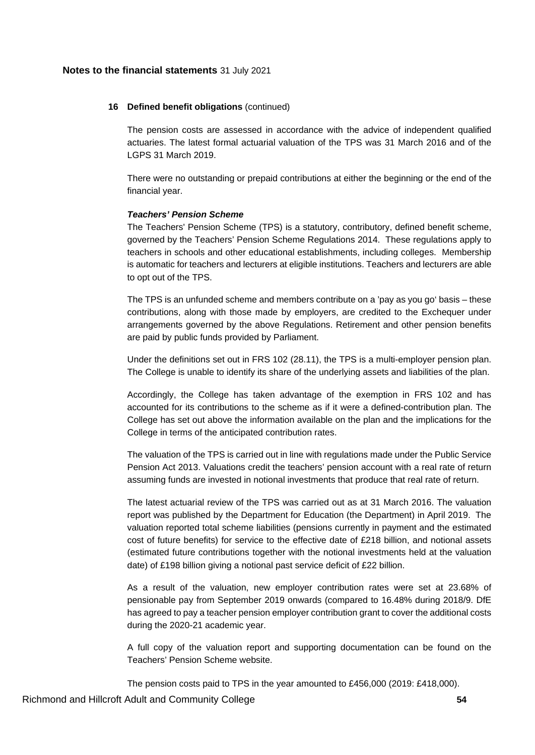### **16 Defined benefit obligations** (continued)

The pension costs are assessed in accordance with the advice of independent qualified actuaries. The latest formal actuarial valuation of the TPS was 31 March 2016 and of the LGPS 31 March 2019.

There were no outstanding or prepaid contributions at either the beginning or the end of the financial year.

### *Teachers' Pension Scheme*

The Teachers' Pension Scheme (TPS) is a statutory, contributory, defined benefit scheme, governed by the Teachers' Pension Scheme Regulations 2014. These regulations apply to teachers in schools and other educational establishments, including colleges. Membership is automatic for teachers and lecturers at eligible institutions. Teachers and lecturers are able to opt out of the TPS.

The TPS is an unfunded scheme and members contribute on a 'pay as you go' basis – these contributions, along with those made by employers, are credited to the Exchequer under arrangements governed by the above Regulations. Retirement and other pension benefits are paid by public funds provided by Parliament.

Under the definitions set out in FRS 102 (28.11), the TPS is a multi-employer pension plan. The College is unable to identify its share of the underlying assets and liabilities of the plan.

Accordingly, the College has taken advantage of the exemption in FRS 102 and has accounted for its contributions to the scheme as if it were a defined-contribution plan. The College has set out above the information available on the plan and the implications for the College in terms of the anticipated contribution rates.

The valuation of the TPS is carried out in line with regulations made under the Public Service Pension Act 2013. Valuations credit the teachers' pension account with a real rate of return assuming funds are invested in notional investments that produce that real rate of return.

The latest actuarial review of the TPS was carried out as at 31 March 2016. The valuation report was published by the Department for Education (the Department) in April 2019. The valuation reported total scheme liabilities (pensions currently in payment and the estimated cost of future benefits) for service to the effective date of £218 billion, and notional assets (estimated future contributions together with the notional investments held at the valuation date) of £198 billion giving a notional past service deficit of £22 billion.

As a result of the valuation, new employer contribution rates were set at 23.68% of pensionable pay from September 2019 onwards (compared to 16.48% during 2018/9. DfE has agreed to pay a teacher pension employer contribution grant to cover the additional costs during the 2020-21 academic year.

A full copy of the valuation report and supporting documentation can be found on the Teachers' Pension Scheme website.

The pension costs paid to TPS in the year amounted to £456,000 (2019: £418,000).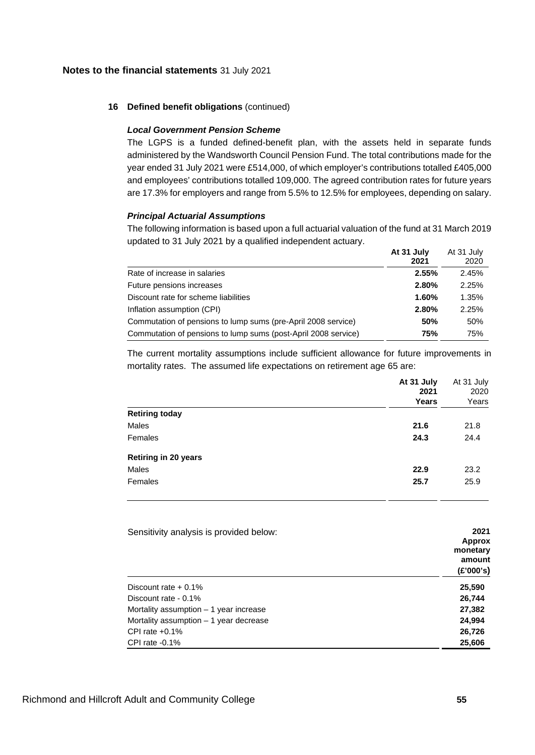### **16 Defined benefit obligations** (continued)

### *Local Government Pension Scheme*

The LGPS is a funded defined-benefit plan, with the assets held in separate funds administered by the Wandsworth Council Pension Fund. The total contributions made for the year ended 31 July 2021 were £514,000, of which employer's contributions totalled £405,000 and employees' contributions totalled 109,000. The agreed contribution rates for future years are 17.3% for employers and range from 5.5% to 12.5% for employees, depending on salary.

#### *Principal Actuarial Assumptions*

The following information is based upon a full actuarial valuation of the fund at 31 March 2019 updated to 31 July 2021 by a qualified independent actuary. **At 31 July**  $A + 24$  July

|                                                                | At 31 JUIV<br>2021 | At 31 July<br>2020 |
|----------------------------------------------------------------|--------------------|--------------------|
| Rate of increase in salaries                                   | 2.55%              | 2.45%              |
| Future pensions increases                                      | 2.80%              | 2.25%              |
| Discount rate for scheme liabilities                           | 1.60%              | 1.35%              |
| Inflation assumption (CPI)                                     | 2.80%              | 2.25%              |
| Commutation of pensions to lump sums (pre-April 2008 service)  | 50%                | 50%                |
| Commutation of pensions to lump sums (post-April 2008 service) | 75%                | 75%                |

The current mortality assumptions include sufficient allowance for future improvements in mortality rates. The assumed life expectations on retirement age 65 are:

|                             | At 31 July<br>2021 | At 31 July<br>2020<br>Years |
|-----------------------------|--------------------|-----------------------------|
|                             | Years              |                             |
| <b>Retiring today</b>       |                    |                             |
| Males                       | 21.6               | 21.8                        |
| Females                     | 24.3               | 24.4                        |
| <b>Retiring in 20 years</b> |                    |                             |
| Males                       | 22.9               | 23.2                        |
| Females                     | 25.7               | 25.9                        |
|                             |                    |                             |

| Sensitivity analysis is provided below: | 2021<br>Approx<br>monetary<br>amount<br>(E'000's) |
|-----------------------------------------|---------------------------------------------------|
| Discount rate $+0.1\%$                  | 25,590                                            |
| Discount rate - 0.1%                    | 26,744                                            |
| Mortality assumption $-1$ year increase | 27,382                                            |
| Mortality assumption $-1$ year decrease | 24,994                                            |
| CPI rate $+0.1\%$                       | 26,726                                            |
| CPI rate $-0.1%$                        | 25,606                                            |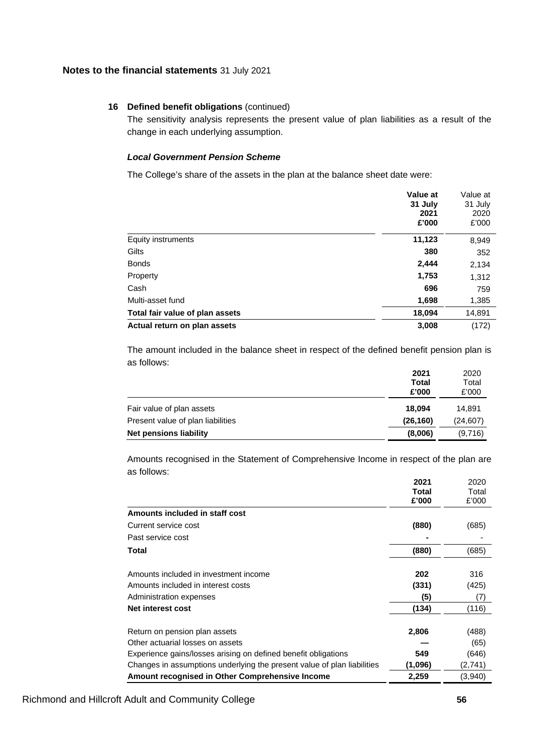### **16 Defined benefit obligations** (continued)

The sensitivity analysis represents the present value of plan liabilities as a result of the change in each underlying assumption.

# *Local Government Pension Scheme*

The College's share of the assets in the plan at the balance sheet date were:

|                                 | Value at<br>31 July<br>2021<br>£'000 | Value at<br>31 July<br>2020<br>£'000 |
|---------------------------------|--------------------------------------|--------------------------------------|
| Equity instruments              | 11,123                               | 8,949                                |
| Gilts                           | 380                                  | 352                                  |
| <b>Bonds</b>                    | 2,444                                | 2,134                                |
| Property                        | 1,753                                | 1,312                                |
| Cash                            | 696                                  | 759                                  |
| Multi-asset fund                | 1,698                                | 1,385                                |
| Total fair value of plan assets | 18,094                               | 14,891                               |
| Actual return on plan assets    | 3,008                                | (172)                                |

The amount included in the balance sheet in respect of the defined benefit pension plan is as follows:

|                                   | 2021      | 2020      |
|-----------------------------------|-----------|-----------|
|                                   | Total     | Total     |
|                                   | £'000     | £'000     |
| Fair value of plan assets         | 18.094    | 14.891    |
| Present value of plan liabilities | (26, 160) | (24, 607) |
| Net pensions liability            | (8,006)   | (9,716)   |
|                                   |           |           |

Amounts recognised in the Statement of Comprehensive Income in respect of the plan are as follows:

|                                                                         | 2021    | 2020    |
|-------------------------------------------------------------------------|---------|---------|
|                                                                         | Total   | Total   |
|                                                                         | £'000   | £'000   |
| Amounts included in staff cost                                          |         |         |
| Current service cost                                                    | (880)   | (685)   |
| Past service cost                                                       |         |         |
| Total                                                                   | (880)   | (685)   |
| Amounts included in investment income                                   | 202     | 316     |
| Amounts included in interest costs                                      | (331)   | (425)   |
| Administration expenses                                                 | (5)     | (7)     |
| Net interest cost                                                       | (134)   | (116)   |
| Return on pension plan assets                                           | 2,806   | (488)   |
| Other actuarial losses on assets                                        |         | (65)    |
| Experience gains/losses arising on defined benefit obligations          | 549     | (646)   |
| Changes in assumptions underlying the present value of plan liabilities | (1,096) | (2,741) |
| Amount recognised in Other Comprehensive Income                         | 2,259   | (3,940) |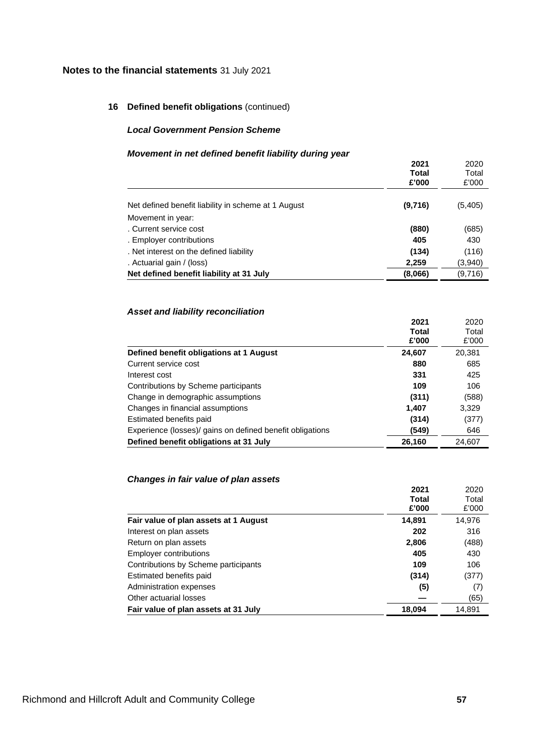# **16 Defined benefit obligations** (continued)

#### *Local Government Pension Scheme*

### *Movement in net defined benefit liability during year*

|                                                     | 2021    | 2020    |
|-----------------------------------------------------|---------|---------|
|                                                     | Total   | Total   |
|                                                     | £'000   | £'000   |
| Net defined benefit liability in scheme at 1 August | (9,716) | (5,405) |
| Movement in year:                                   |         |         |
| . Current service cost                              | (880)   | (685)   |
| . Employer contributions                            | 405     | 430     |
| . Net interest on the defined liability             | (134)   | (116)   |
| . Actuarial gain / (loss)                           | 2,259   | (3,940) |
| Net defined benefit liability at 31 July            | (8,066) | (9,716) |
|                                                     |         |         |

# *Asset and liability reconciliation*

|                                                           | <b>Total</b> | Total  |
|-----------------------------------------------------------|--------------|--------|
|                                                           | £'000        | £'000  |
| Defined benefit obligations at 1 August                   | 24,607       | 20,381 |
| Current service cost                                      | 880          | 685    |
| Interest cost                                             | 331          | 425    |
| Contributions by Scheme participants                      | 109          | 106    |
| Change in demographic assumptions                         | (311)        | (588)  |
| Changes in financial assumptions                          | 1,407        | 3,329  |
| Estimated benefits paid                                   | (314)        | (377)  |
| Experience (losses)/ gains on defined benefit obligations | (549)        | 646    |
| Defined benefit obligations at 31 July                    | 26,160       | 24,607 |

# *Changes in fair value of plan assets*

|                                       | 2021   | 2020   |
|---------------------------------------|--------|--------|
|                                       | Total  | Total  |
|                                       | £'000  | £'000  |
| Fair value of plan assets at 1 August | 14,891 | 14,976 |
| Interest on plan assets               | 202    | 316    |
| Return on plan assets                 | 2,806  | (488)  |
| <b>Employer contributions</b>         | 405    | 430    |
| Contributions by Scheme participants  | 109    | 106    |
| Estimated benefits paid               | (314)  | (377)  |
| Administration expenses               | (5)    | (7)    |
| Other actuarial losses                |        | (65)   |
| Fair value of plan assets at 31 July  | 18,094 | 14.891 |

**2021**

2020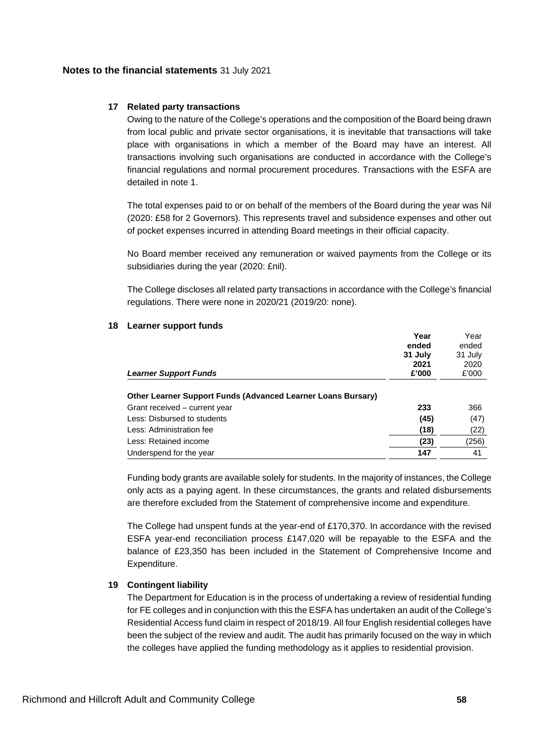# **17 Related party transactions**

Owing to the nature of the College's operations and the composition of the Board being drawn from local public and private sector organisations, it is inevitable that transactions will take place with organisations in which a member of the Board may have an interest. All transactions involving such organisations are conducted in accordance with the College's financial regulations and normal procurement procedures. Transactions with the ESFA are detailed in note 1.

The total expenses paid to or on behalf of the members of the Board during the year was Nil (2020: £58 for 2 Governors). This represents travel and subsidence expenses and other out of pocket expenses incurred in attending Board meetings in their official capacity.

No Board member received any remuneration or waived payments from the College or its subsidiaries during the year (2020: £nil).

The College discloses all related party transactions in accordance with the College's financial regulations. There were none in 2020/21 (2019/20: none).

|                                                              | Year    | Year            |
|--------------------------------------------------------------|---------|-----------------|
|                                                              | ended   | ended           |
|                                                              | 31 July | 31 July<br>2020 |
|                                                              | 2021    |                 |
| <b>Learner Support Funds</b>                                 | £'000   | £'000           |
| Other Learner Support Funds (Advanced Learner Loans Bursary) |         |                 |
| Grant received - current year                                | 233     | 366             |
| Less: Disbursed to students                                  | (45)    | (47)            |
| Less: Administration fee                                     | (18)    | (22)            |
| Less: Retained income                                        | (23)    | (256)           |
| Underspend for the year                                      | 147     | 41              |

# **18 Learner support funds**

Funding body grants are available solely for students. In the majority of instances, the College only acts as a paying agent. In these circumstances, the grants and related disbursements are therefore excluded from the Statement of comprehensive income and expenditure.

The College had unspent funds at the year-end of £170,370. In accordance with the revised ESFA year-end reconciliation process £147,020 will be repayable to the ESFA and the balance of £23,350 has been included in the Statement of Comprehensive Income and Expenditure.

# **19 Contingent liability**

The Department for Education is in the process of undertaking a review of residential funding for FE colleges and in conjunction with this the ESFA has undertaken an audit of the College's Residential Access fund claim in respect of 2018/19. All four English residential colleges have been the subject of the review and audit. The audit has primarily focused on the way in which the colleges have applied the funding methodology as it applies to residential provision.